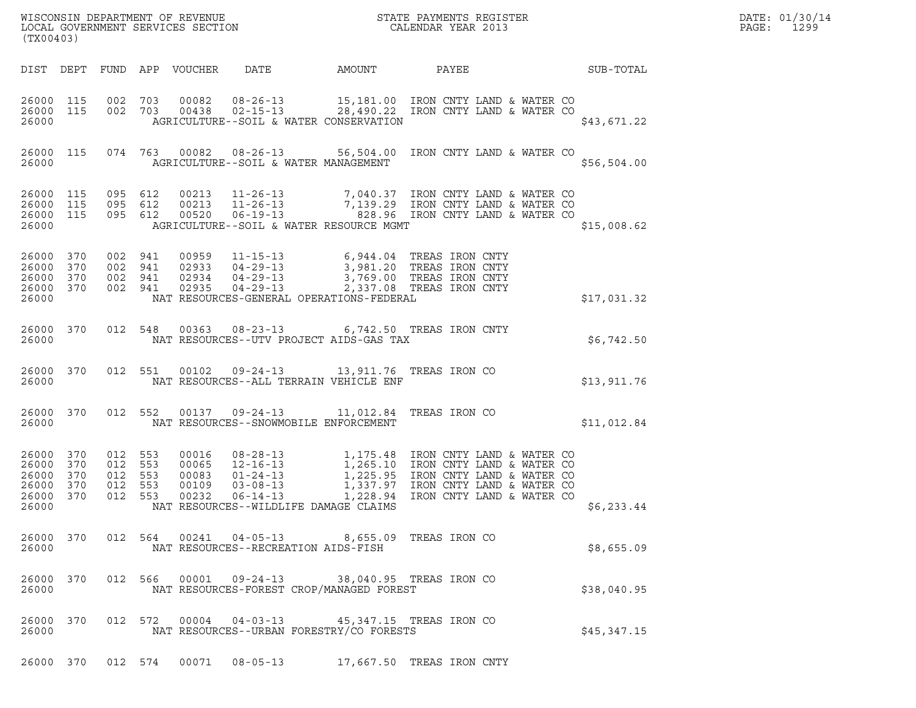| (TX00403)                                                              |           |         |                                                     |                                           |                | WISCONSIN DEPARTMENT OF REVENUE<br>LOCAL GOVERNMENT SERVICES SECTION<br>CALENDAR YEAR 2013                                                                                                                                                                                                                                                                                                     |                           |             | DATE: 01/30/14<br>PAGE:<br>1299 |
|------------------------------------------------------------------------|-----------|---------|-----------------------------------------------------|-------------------------------------------|----------------|------------------------------------------------------------------------------------------------------------------------------------------------------------------------------------------------------------------------------------------------------------------------------------------------------------------------------------------------------------------------------------------------|---------------------------|-------------|---------------------------------|
|                                                                        |           |         |                                                     |                                           |                | DIST DEPT FUND APP VOUCHER DATE AMOUNT PAYEE SUB-TOTAL                                                                                                                                                                                                                                                                                                                                         |                           |             |                                 |
| 26000 115<br>26000                                                     | 26000 115 |         |                                                     |                                           |                | 002 703 00082 08-26-13 15,181.00 IRON CNTY LAND & WATER CO<br>002 703 00438 02-15-13 28,490.22 IRON CNTY LAND & WATER CO<br>AGRICULTURE--SOIL & WATER CONSERVATION                                                                                                                                                                                                                             |                           | \$43,671.22 |                                 |
|                                                                        | 26000 115 |         |                                                     |                                           |                | 074 763 00082 08-26-13 56,504.00 IRON CNTY LAND & WATER CO<br>26000 AGRICULTURE--SOIL & WATER MANAGEMENT                                                                                                                                                                                                                                                                                       |                           | \$56,504.00 |                                 |
| 26000 115<br>26000 115<br>26000 115<br>26000                           |           | 095 612 |                                                     |                                           |                | 095 612 00213 11-26-13 7,040.37 IRON CNTY LAND & WATER CO<br>095 612 00213 11-26-13 7,139.29 IRON CNTY LAND & WATER CO<br>095 612 00520 06-19-13 828.96 IRON CNTY LAND & WATER CO<br>AGRICULTURE--SOIL & WATER RESOURCE MGMT                                                                                                                                                                   |                           | \$15,008.62 |                                 |
| 26000 370<br>26000 370<br>26000 370<br>26000 370<br>26000              |           |         |                                                     | 002 941 02935                             |                | $\begin{array}{cccc} 002 & 941 & 00959 & 11\text{--}15\text{--}13 & 6\text{,}944\text{-.}04 & \text{TREAS IRON CNTY} \\ 002 & 941 & 02933 & 04\text{--}29\text{--}13 & 3\text{,}981\text{-.}20 & \text{TREAS IRON CNTY} \\ 002 & 941 & 02934 & 04\text{--}29\text{--}13 & 3\text{,}769\text{-.}00 & \text{TREAS IRON CNTY} \\ 002 & 941 & 02935 &$<br>NAT RESOURCES-GENERAL OPERATIONS-FEDERAL |                           | \$17,031.32 |                                 |
| 26000                                                                  | 26000 370 |         |                                                     | 012 548 00363                             |                | 08-23-13 6,742.50 TREAS IRON CNTY<br>NAT RESOURCES--UTV PROJECT AIDS-GAS TAX                                                                                                                                                                                                                                                                                                                   |                           | \$6,742.50  |                                 |
| 26000                                                                  | 26000 370 |         |                                                     | 012 551 00102                             |                | 09-24-13 13,911.76 TREAS IRON CO<br>NAT RESOURCES--ALL TERRAIN VEHICLE ENF                                                                                                                                                                                                                                                                                                                     |                           | \$13,911.76 |                                 |
| 26000                                                                  | 26000 370 |         |                                                     | 012 552 00137                             |                | 09-24-13 11,012.84 TREAS IRON CO<br>NAT RESOURCES--SNOWMOBILE ENFORCEMENT                                                                                                                                                                                                                                                                                                                      |                           | \$11,012.84 |                                 |
| 26000 370<br>26000 370<br>26000 370<br>26000 370<br>26000 370<br>26000 |           |         | 012 553<br>012 553<br>012 553<br>012 553<br>012 553 | 00016<br>00065<br>00083<br>00109<br>00232 |                | 08-28-13<br>1,175.48 IRON CNTY LAND & WATER CO<br>12-16-13<br>1,265.10 IRON CNTY LAND & WATER CO<br>01-24-13<br>1,225.95 IRON CNTY LAND & WATER CO<br>06-14-13<br>1,228.94 IRON CNTY LAND & WATER CO<br>06-14-13<br>1,228.94 IRON CNTY LAND & WA<br>NAT RESOURCES--WILDLIFE DAMAGE CLAIMS                                                                                                      |                           | \$6,233.44  |                                 |
| 26000 370<br>26000                                                     |           |         |                                                     |                                           |                | 012 564 00241 04-05-13 8,655.09 TREAS IRON CO<br>NAT RESOURCES--RECREATION AIDS-FISH                                                                                                                                                                                                                                                                                                           |                           | \$8,655.09  |                                 |
| 26000                                                                  | 26000 370 |         |                                                     |                                           |                | 012 566 00001 09-24-13 38,040.95 TREAS IRON CO<br>NAT RESOURCES-FOREST CROP/MANAGED FOREST                                                                                                                                                                                                                                                                                                     |                           | \$38,040.95 |                                 |
| 26000 370<br>26000                                                     |           |         |                                                     |                                           |                | 012 572 00004 04-03-13 45,347.15 TREAS IRON CO<br>NAT RESOURCES--URBAN FORESTRY/CO FORESTS                                                                                                                                                                                                                                                                                                     |                           | \$45,347.15 |                                 |
|                                                                        |           |         |                                                     | 26000 370 012 574 00071                   | $08 - 05 - 13$ |                                                                                                                                                                                                                                                                                                                                                                                                | 17,667.50 TREAS IRON CNTY |             |                                 |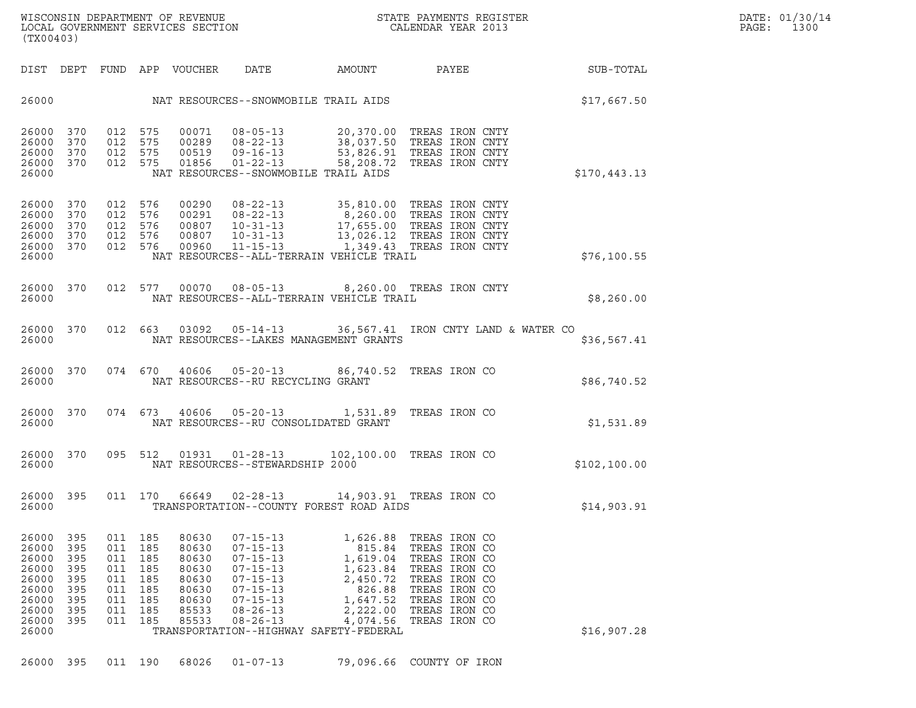WISCONSIN DEPARTMENT OF REVENUE<br>LOCAL GOVERNMENT SERVICES SECTION STATE PAYMENTS REGISTER SECONDER STATE PASSES OF SAMENTS REGISTER<br>DOCAL GOVERNMENT SERVICES SECTION SECONDER SERVICES SECONDAR VEAR 2013 WISCONSIN DEPARTMENT OF REVENUE<br>LOCAL GOVERNMENT SERVICES SECTION FOR THE STATE PAYMENTS REGISTER FOR THE PAGE: 1300<br>(TX00403) (TX00403)

| (TX00403)                                                                              |                                                             |                                                             |                                                             |                                                                               |                                                                                                                                                                |                                                                                                                                                |                                                                                                                                                       |               |
|----------------------------------------------------------------------------------------|-------------------------------------------------------------|-------------------------------------------------------------|-------------------------------------------------------------|-------------------------------------------------------------------------------|----------------------------------------------------------------------------------------------------------------------------------------------------------------|------------------------------------------------------------------------------------------------------------------------------------------------|-------------------------------------------------------------------------------------------------------------------------------------------------------|---------------|
| DIST                                                                                   | DEPT                                                        | FUND                                                        |                                                             | APP VOUCHER                                                                   | DATE                                                                                                                                                           | AMOUNT                                                                                                                                         | PAYEE                                                                                                                                                 | SUB-TOTAL     |
| 26000                                                                                  |                                                             |                                                             |                                                             |                                                                               |                                                                                                                                                                | NAT RESOURCES--SNOWMOBILE TRAIL AIDS                                                                                                           |                                                                                                                                                       | \$17,667.50   |
| 26000<br>26000<br>26000<br>26000<br>26000                                              | 370<br>370<br>370<br>370                                    | 012<br>012<br>012<br>012                                    | 575<br>575<br>575<br>575                                    | 00071<br>00289<br>00519<br>01856                                              | $08 - 05 - 13$<br>$08 - 22 - 13$<br>$09 - 16 - 13$<br>$01 - 22 - 13$                                                                                           | 20,370.00<br>58,208.72<br>NAT RESOURCES--SNOWMOBILE TRAIL AIDS                                                                                 | TREAS IRON CNTY<br>38,037.50 TREAS IRON CNTY<br>53,826.91 TREAS IRON CNTY<br>TREAS IRON CNTY                                                          | \$170,443.13  |
| 26000<br>26000<br>26000<br>26000<br>26000<br>26000                                     | 370<br>370<br>370<br>370<br>370                             | 012<br>012<br>012<br>012<br>012                             | 576<br>576<br>576<br>576<br>576                             | 00290<br>00291<br>00807<br>00807<br>00960                                     | $08 - 22 - 13$<br>$08 - 22 - 13$<br>$10 - 31 - 13$<br>$10 - 31 - 13$<br>$11 - 15 - 13$                                                                         | NAT RESOURCES--ALL-TERRAIN VEHICLE TRAIL                                                                                                       | 35,810.00 TREAS IRON CNTY<br>8,260.00 TREAS IRON CNTY<br>17,655.00 TREAS IRON CNTY<br>13,026.12 TREAS IRON CNTY<br>1,349.43 TREAS IRON CNTY           | \$76, 100.55  |
| 26000<br>26000                                                                         | 370                                                         | 012                                                         | 577                                                         | 00070                                                                         |                                                                                                                                                                | NAT RESOURCES--ALL-TERRAIN VEHICLE TRAIL                                                                                                       | 08-05-13 8,260.00 TREAS IRON CNTY                                                                                                                     | \$8,260.00    |
| 26000<br>26000                                                                         | 370                                                         | 012                                                         | 663                                                         | 03092                                                                         |                                                                                                                                                                | NAT RESOURCES--LAKES MANAGEMENT GRANTS                                                                                                         | 05-14-13 36,567.41 IRON CNTY LAND & WATER CO                                                                                                          | \$36,567.41   |
| 26000<br>26000                                                                         | 370                                                         | 074                                                         | 670                                                         | 40606                                                                         | NAT RESOURCES--RU RECYCLING GRANT                                                                                                                              | $05 - 20 - 13$ 86,740.52                                                                                                                       | TREAS IRON CO                                                                                                                                         | \$86,740.52   |
| 26000<br>26000                                                                         | 370                                                         | 074                                                         | 673                                                         | 40606                                                                         | $05 - 20 - 13$                                                                                                                                                 | 1,531.89<br>NAT RESOURCES--RU CONSOLIDATED GRANT                                                                                               | TREAS IRON CO                                                                                                                                         | \$1,531.89    |
| 26000<br>26000                                                                         | 370                                                         | 095                                                         | 512                                                         | 01931                                                                         | $01 - 28 - 13$<br>NAT RESOURCES--STEWARDSHIP 2000                                                                                                              | 102,100.00                                                                                                                                     | TREAS IRON CO                                                                                                                                         | \$102, 100.00 |
| 26000<br>26000                                                                         | 395                                                         | 011                                                         | 170                                                         | 66649                                                                         | $02 - 28 - 13$                                                                                                                                                 | 14,903.91   TREAS IRON CO<br>TRANSPORTATION--COUNTY FOREST ROAD AIDS                                                                           |                                                                                                                                                       | \$14,903.91   |
| 26000<br>26000<br>26000<br>26000<br>26000<br>26000<br>26000<br>26000<br>26000<br>26000 | 395<br>395<br>395<br>395<br>395<br>395<br>395<br>395<br>395 | 011<br>011<br>011<br>011<br>011<br>011<br>011<br>011<br>011 | 185<br>185<br>185<br>185<br>185<br>185<br>185<br>185<br>185 | 80630<br>80630<br>80630<br>80630<br>80630<br>80630<br>80630<br>85533<br>85533 | $07 - 15 - 13$<br>$07 - 15 - 13$<br>$07 - 15 - 13$<br>$07 - 15 - 13$<br>$07 - 15 - 13$<br>$07 - 15 - 13$<br>$07 - 15 - 13$<br>$08 - 26 - 13$<br>$08 - 26 - 13$ | 1,626.88<br>815.84<br>1,619.04<br>1,623.84<br>2,450.72<br>826.88<br>1,647.52<br>2,222.00<br>4,074.56<br>TRANSPORTATION--HIGHWAY SAFETY-FEDERAL | TREAS IRON CO<br>TREAS IRON CO<br>TREAS IRON CO<br>TREAS IRON CO<br>TREAS IRON CO<br>TREAS IRON CO<br>TREAS IRON CO<br>TREAS IRON CO<br>TREAS IRON CO | \$16,907.28   |
| 26000                                                                                  | 395                                                         | 011                                                         | 190                                                         | 68026                                                                         | $01 - 07 - 13$                                                                                                                                                 | 79,096.66                                                                                                                                      | COUNTY OF IRON                                                                                                                                        |               |
|                                                                                        |                                                             |                                                             |                                                             |                                                                               |                                                                                                                                                                |                                                                                                                                                |                                                                                                                                                       |               |

|  |  |  |  |  |  | 26000 395 011 190 68026 01-07-13 |  |  | 79,096.66 COUNTY OF IRON |  |  |
|--|--|--|--|--|--|----------------------------------|--|--|--------------------------|--|--|
|--|--|--|--|--|--|----------------------------------|--|--|--------------------------|--|--|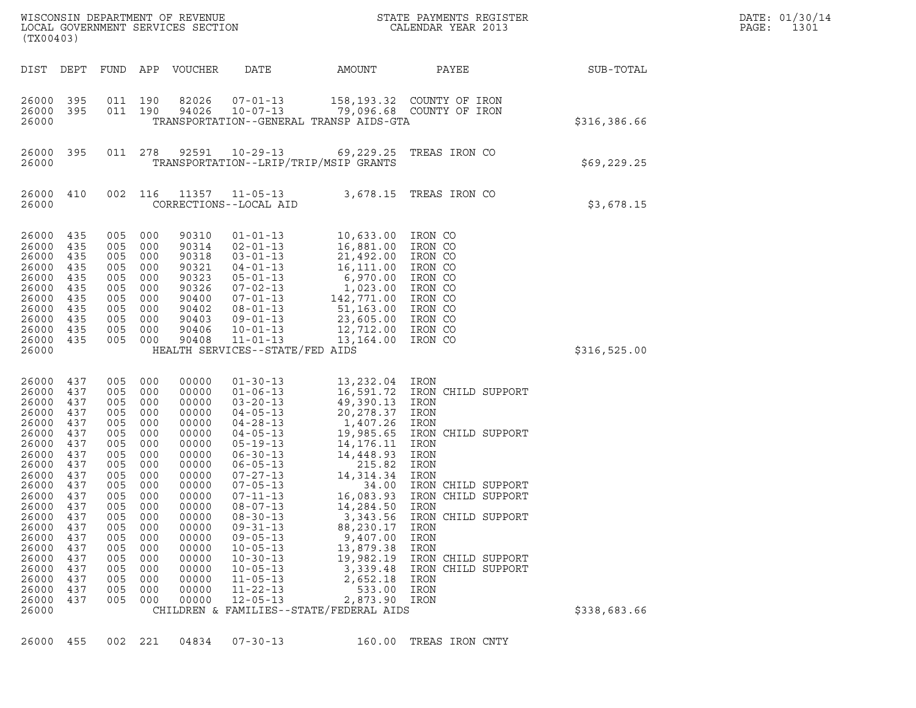| (TX00403)                                                                                                                                                                                                   |                                                                                                                                                        |                                                                                                                                                            |                                                                                                                                                 | WISCONSIN DEPARTMENT OF REVENUE<br>LOCAL GOVERNMENT SERVICES SECTION                                                                                                                               |                                                                                                                                                                                                                                                                                                                                                                                                          |                                                                                                                                                                                                                                                                                                  | STATE PAYMENTS REGISTER<br>CALENDAR YEAR 2013                                                                                                                                                                                                                                              |              | DATE: 01/30/14<br>PAGE:<br>1301 |
|-------------------------------------------------------------------------------------------------------------------------------------------------------------------------------------------------------------|--------------------------------------------------------------------------------------------------------------------------------------------------------|------------------------------------------------------------------------------------------------------------------------------------------------------------|-------------------------------------------------------------------------------------------------------------------------------------------------|----------------------------------------------------------------------------------------------------------------------------------------------------------------------------------------------------|----------------------------------------------------------------------------------------------------------------------------------------------------------------------------------------------------------------------------------------------------------------------------------------------------------------------------------------------------------------------------------------------------------|--------------------------------------------------------------------------------------------------------------------------------------------------------------------------------------------------------------------------------------------------------------------------------------------------|--------------------------------------------------------------------------------------------------------------------------------------------------------------------------------------------------------------------------------------------------------------------------------------------|--------------|---------------------------------|
| DIST                                                                                                                                                                                                        | DEPT                                                                                                                                                   |                                                                                                                                                            |                                                                                                                                                 | FUND APP VOUCHER                                                                                                                                                                                   | DATE                                                                                                                                                                                                                                                                                                                                                                                                     | AMOUNT                                                                                                                                                                                                                                                                                           | PAYEE                                                                                                                                                                                                                                                                                      | SUB-TOTAL    |                                 |
| 26000 395<br>26000<br>26000                                                                                                                                                                                 | - 395                                                                                                                                                  | 011 190<br>011 190                                                                                                                                         |                                                                                                                                                 | 82026<br>94026                                                                                                                                                                                     | $07 - 01 - 13$<br>$10 - 07 - 13$                                                                                                                                                                                                                                                                                                                                                                         | TRANSPORTATION--GENERAL TRANSP AIDS-GTA                                                                                                                                                                                                                                                          | 158, 193.32 COUNTY OF IRON<br>79,096.68 COUNTY OF IRON                                                                                                                                                                                                                                     | \$316,386.66 |                                 |
| 26000 395<br>26000                                                                                                                                                                                          |                                                                                                                                                        | 011 278                                                                                                                                                    |                                                                                                                                                 | 92591                                                                                                                                                                                              | $10 - 29 - 13$                                                                                                                                                                                                                                                                                                                                                                                           | TRANSPORTATION--LRIP/TRIP/MSIP GRANTS                                                                                                                                                                                                                                                            | 69,229.25 TREAS IRON CO                                                                                                                                                                                                                                                                    | \$69, 229.25 |                                 |
| 26000 410<br>26000                                                                                                                                                                                          |                                                                                                                                                        | 002 116                                                                                                                                                    |                                                                                                                                                 |                                                                                                                                                                                                    | 11357 11-05-13<br>CORRECTIONS--LOCAL AID                                                                                                                                                                                                                                                                                                                                                                 |                                                                                                                                                                                                                                                                                                  | 3,678.15 TREAS IRON CO                                                                                                                                                                                                                                                                     | \$3,678.15   |                                 |
| 26000<br>26000<br>26000<br>26000<br>26000<br>26000<br>26000<br>26000<br>26000<br>26000<br>26000<br>26000                                                                                                    | 435<br>435<br>435<br>435<br>435<br>435<br>435<br>435<br>435<br>435<br>435                                                                              | 005<br>005<br>005<br>005<br>005<br>005<br>005<br>005<br>005<br>005<br>005 000                                                                              | 000<br>000<br>000<br>000<br>000<br>000<br>000<br>000<br>000<br>000                                                                              | 90310<br>90314<br>90318<br>90321<br>90323<br>90326<br>90400<br>90402<br>90403<br>90406<br>90408                                                                                                    | $01 - 01 - 13$<br>$02 - 01 - 13$<br>$03 - 01 - 13$<br>$04 - 01 - 13$<br>$05 - 01 - 13$<br>$07 - 02 - 13$<br>$07 - 01 - 13$<br>$08 - 01 - 13$<br>$09 - 01 - 13$<br>$10 - 01 - 13$<br>$11 - 01 - 13$<br>HEALTH SERVICES--STATE/FED AIDS                                                                                                                                                                    | 10,633.00<br>16,881.00<br>21,492.00<br>16,111.00<br>6,970.00<br>1,023.00<br>$142, 771.00$<br>51, 163.00<br>23,605.00<br>12,712.00<br>13,164.00                                                                                                                                                   | IRON CO<br>IRON CO<br>IRON CO<br>IRON CO<br>IRON CO<br>IRON CO<br>IRON CO<br>IRON CO<br>IRON CO<br>IRON CO<br>IRON CO                                                                                                                                                                      | \$316,525.00 |                                 |
| 26000<br>26000<br>26000<br>26000<br>26000<br>26000<br>26000<br>26000<br>26000<br>26000<br>26000<br>26000<br>26000<br>26000<br>26000<br>26000<br>26000<br>26000<br>26000<br>26000<br>26000<br>26000<br>26000 | 437<br>437<br>437<br>437<br>437<br>437<br>437<br>437<br>437<br>437<br>437<br>437<br>437<br>437<br>437<br>437<br>437<br>437<br>437<br>437<br>437<br>437 | 005<br>005<br>005<br>005<br>005<br>005<br>005<br>005<br>005<br>005<br>005<br>005 000<br>005<br>005<br>005<br>005<br>005<br>005<br>005<br>005<br>005<br>005 | 000<br>000<br>000<br>000<br>000<br>000<br>000<br>000<br>000<br>000<br>000<br>000<br>000<br>000<br>000<br>000<br>000<br>000<br>000<br>000<br>000 | 00000<br>00000<br>00000<br>00000<br>00000<br>00000<br>00000<br>00000<br>00000<br>00000<br>00000<br>00000<br>00000<br>00000<br>00000<br>00000<br>00000<br>00000<br>00000<br>00000<br>00000<br>00000 | $01 - 30 - 13$<br>$01 - 06 - 13$<br>$03 - 20 - 13$<br>$04 - 05 - 13$<br>$04 - 28 - 13$<br>$04 - 05 - 13$<br>$05 - 19 - 13$<br>$06 - 30 - 13$<br>$06 - 05 - 13$<br>$07 - 27 - 13$<br>$07 - 05 - 13$<br>$07 - 11 - 13$<br>$08 - 07 - 13$<br>$08 - 30 - 13$<br>$09 - 31 - 13$<br>$09 - 05 - 13$<br>$10 - 05 - 13$<br>$10 - 30 - 13$<br>$10 - 05 - 13$<br>$11 - 05 - 13$<br>$11 - 22 - 13$<br>$12 - 05 - 13$ | 13,232.04 IRON<br>49,390.13<br>20,278.37<br>1,407.26<br>19,985.65<br>14,176.11<br>14,448.93<br>215.82<br>14,314.34<br>34.00<br>14,284.50<br>3,343.56<br>88,230.17<br>9,407.00<br>13,879.38<br>19,982.19<br>3,339.48<br>2,652.18<br>533.00<br>2,873.90<br>CHILDREN & FAMILIES--STATE/FEDERAL AIDS | 16,591.72 IRON CHILD SUPPORT<br>IRON<br>IRON<br>IRON<br>IRON CHILD SUPPORT<br>IRON<br>IRON<br>IRON<br>IRON<br>IRON CHILD SUPPORT<br>16,083.93 IRON CHILD SUPPORT<br>IRON<br>IRON CHILD SUPPORT<br>IRON<br>IRON<br>IRON<br>IRON CHILD SUPPORT<br>IRON CHILD SUPPORT<br>IRON<br>IRON<br>IRON | \$338,683.66 |                                 |

26000 455 002 221 04834 07-30-13 160.00 TREAS IRON CNTY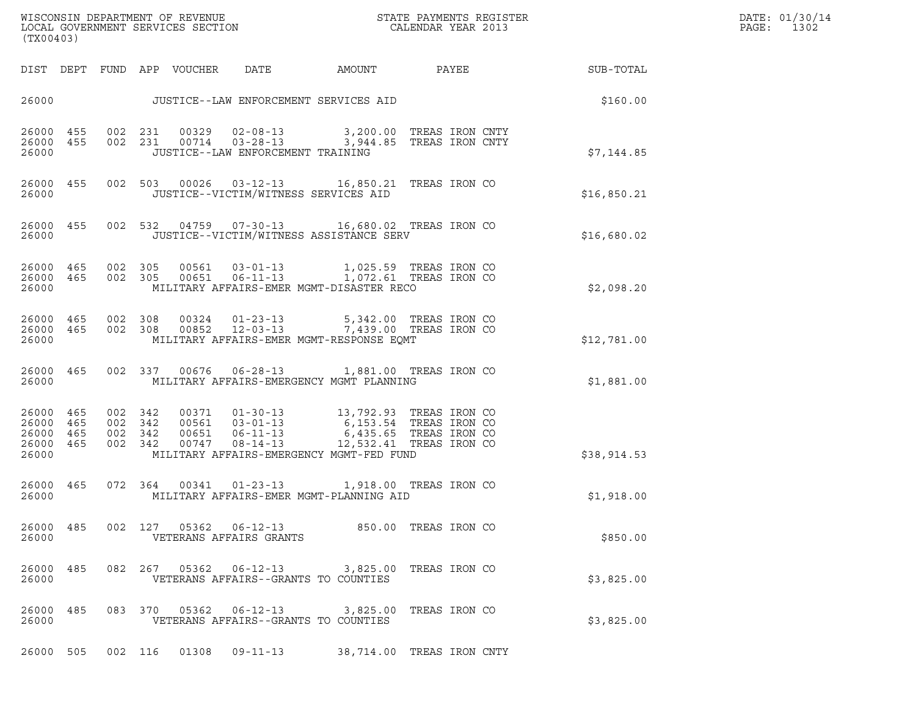| DATE: 01/3 |  |
|------------|--|
| PAGE: 13   |  |

| (TX00403)                                     |                                |                                          |         |                                 |                                   | $\tt WISCONSIM DEPARTMENT OF REVENUE$ $\tt WISCONS IN DEPARTMENT SERVICES SECTION$ $\tt SCALENDAR YEAR$ $2013$                                                                                                    |  |                        | DATE: 01/30/14<br>PAGE:<br>1302 |
|-----------------------------------------------|--------------------------------|------------------------------------------|---------|---------------------------------|-----------------------------------|-------------------------------------------------------------------------------------------------------------------------------------------------------------------------------------------------------------------|--|------------------------|---------------------------------|
|                                               |                                |                                          |         | DIST DEPT FUND APP VOUCHER DATE |                                   |                                                                                                                                                                                                                   |  | AMOUNT PAYEE SUB-TOTAL |                                 |
|                                               |                                |                                          |         |                                 |                                   | 26000 JUSTICE--LAW ENFORCEMENT SERVICES AID                                                                                                                                                                       |  | \$160.00               |                                 |
| 26000 455<br>26000 455<br>26000               |                                |                                          |         |                                 | JUSTICE--LAW ENFORCEMENT TRAINING | 002 231 00329 02-08-13 3,200.00 TREAS IRON CNTY<br>002 231 00714 03-28-13 3,944.85 TREAS IRON CNTY                                                                                                                |  | \$7,144.85             |                                 |
| 26000                                         |                                |                                          |         |                                 |                                   | 26000 455 002 503 00026 03-12-13 16,850.21 TREAS IRON CO<br>JUSTICE--VICTIM/WITNESS SERVICES AID                                                                                                                  |  | \$16,850.21            |                                 |
| 26000                                         |                                |                                          |         |                                 |                                   | 26000 455 002 532 04759 07-30-13 16,680.02 TREAS IRON CO<br>JUSTICE--VICTIM/WITNESS ASSISTANCE SERV                                                                                                               |  | \$16,680.02            |                                 |
| 26000                                         | 26000 465 002 305<br>26000 465 |                                          | 002 305 |                                 |                                   | MILITARY AFFAIRS-EMER MGMT-DISASTER RECO                                                                                                                                                                          |  | \$2,098.20             |                                 |
| 26000                                         |                                |                                          |         |                                 |                                   | 26000 465 002 308 00324 01-23-13 5,342.00 TREAS IRON CO<br>26000 465 002 308 00852 12-03-13 7,439.00 TREAS IRON CO<br>MILITARY AFFAIRS-EMER MGMT-RESPONSE EQMT                                                    |  | \$12,781.00            |                                 |
| 26000                                         | 26000 465                      |                                          |         |                                 |                                   | 002 337 00676 06-28-13 1,881.00 TREAS IRON CO<br>MILITARY AFFAIRS-EMERGENCY MGMT PLANNING                                                                                                                         |  | \$1,881.00             |                                 |
| 26000 465<br>26000<br>26000<br>26000<br>26000 | 465<br>465<br>465              | 002 342<br>002 342<br>002 342<br>002 342 |         |                                 |                                   | 00371  01-30-13  13,792.93  TREAS IRON CO<br>00561 03-01-13 6,153.54 TREAS IRON CO<br>00651 06-11-13 6,435.65 TREAS IRON CO<br>00747 08-14-13 12,532.41 TREAS IRON CO<br>MILITARY AFFAIRS-EMERGENCY MGMT-FED FUND |  | \$38,914.53            |                                 |
| 26000 465<br>26000                            |                                |                                          |         |                                 |                                   | 072 364 00341 01-23-13 1,918.00 TREAS IRON CO<br>MILITARY AFFAIRS-EMER MGMT-PLANNING AID                                                                                                                          |  | \$1,918.00             |                                 |
| 26000 485<br>26000                            |                                |                                          |         |                                 | VETERANS AFFAIRS GRANTS           | 002 127 05362 06-12-13 850.00 TREAS IRON CO                                                                                                                                                                       |  | \$850.00               |                                 |
| 26000 485<br>26000                            |                                |                                          |         |                                 |                                   | 082  267  05362  06-12-13  3,825.00 TREAS IRON CO<br>VETERANS AFFAIRS--GRANTS TO COUNTIES                                                                                                                         |  | \$3,825.00             |                                 |
| 26000 485<br>26000                            |                                |                                          | 083 370 | 05362                           | $06 - 12 - 13$                    | 3,825.00 TREAS IRON CO<br>VETERANS AFFAIRS--GRANTS TO COUNTIES                                                                                                                                                    |  | \$3,825.00             |                                 |
| 26000 505                                     |                                | 002 116                                  |         | 01308                           | 09-11-13                          | 38,714.00 TREAS IRON CNTY                                                                                                                                                                                         |  |                        |                                 |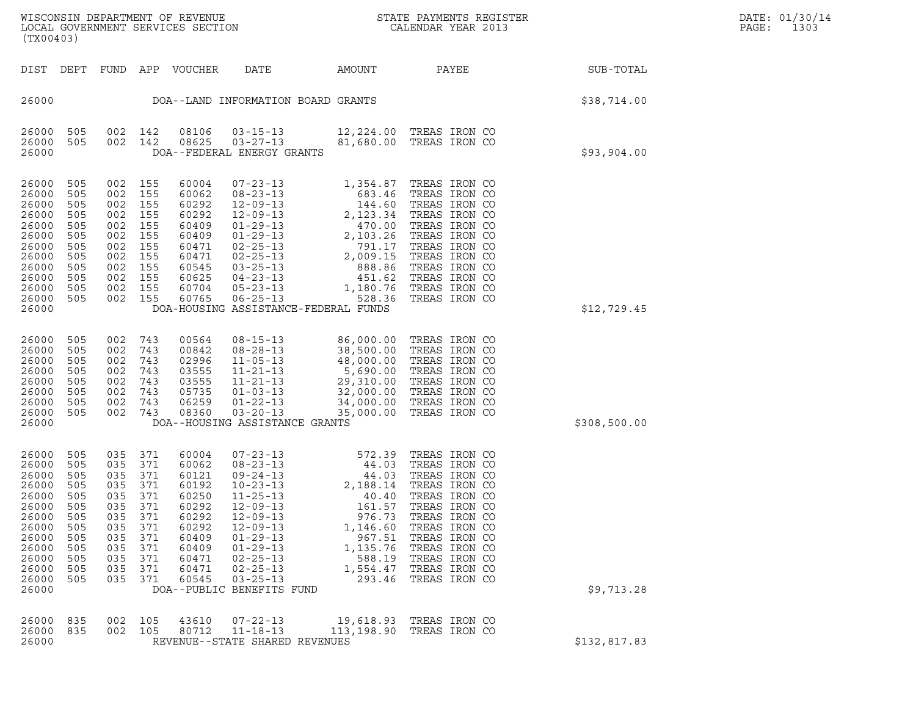| (TX00403)                                                                                                                  |                                                                                         |                                                                                         |                                                                                         |                                                                                                                   |                                                                                                                                                                                                                                                                                                                                                         |                                                              |                                                                                                                                                                                                                           |              |
|----------------------------------------------------------------------------------------------------------------------------|-----------------------------------------------------------------------------------------|-----------------------------------------------------------------------------------------|-----------------------------------------------------------------------------------------|-------------------------------------------------------------------------------------------------------------------|---------------------------------------------------------------------------------------------------------------------------------------------------------------------------------------------------------------------------------------------------------------------------------------------------------------------------------------------------------|--------------------------------------------------------------|---------------------------------------------------------------------------------------------------------------------------------------------------------------------------------------------------------------------------|--------------|
| DIST                                                                                                                       | DEPT                                                                                    | FUND APP                                                                                |                                                                                         | VOUCHER                                                                                                           | DATE                                                                                                                                                                                                                                                                                                                                                    | AMOUNT                                                       | PAYEE                                                                                                                                                                                                                     | SUB-TOTAL    |
| 26000                                                                                                                      |                                                                                         |                                                                                         |                                                                                         |                                                                                                                   | DOA--LAND INFORMATION BOARD GRANTS                                                                                                                                                                                                                                                                                                                      |                                                              |                                                                                                                                                                                                                           | \$38,714.00  |
| 26000<br>26000<br>26000                                                                                                    | 505<br>505                                                                              | 002<br>002                                                                              | 142<br>142                                                                              | 08106<br>08625                                                                                                    | $03 - 15 - 13$<br>$03 - 27 - 13$<br>DOA--FEDERAL ENERGY GRANTS                                                                                                                                                                                                                                                                                          | 81,680.00                                                    | 12,224.00 TREAS IRON CO<br>TREAS IRON CO                                                                                                                                                                                  | \$93,904.00  |
| 26000<br>26000<br>26000<br>26000<br>26000<br>26000<br>26000<br>26000<br>26000<br>26000<br>26000<br>26000<br>26000          | 505<br>505<br>505<br>505<br>505<br>505<br>505<br>505<br>505<br>505<br>505<br>505        | 002<br>002<br>002<br>002<br>002<br>002<br>002<br>002<br>002<br>002<br>002<br>002        | 155<br>155<br>155<br>155<br>155<br>155<br>155<br>155<br>155<br>155<br>155<br>155        | 60004<br>60062<br>60292<br>60292<br>60409<br>60409<br>60471<br>60471<br>60545<br>60625<br>60704<br>60765          | $07 - 23 - 13$<br>$08 - 23 - 13$<br>$\begin{array}{cccc} 12-09-13 & 083.46 \\ 12-09-13 & 2,123.34 \\ 01-29-13 & 470.00 \\ 01-29-13 & 470.00 \\ 02-25-13 & 791.17 \\ 02-25-13 & 2,009.15 \\ 03-25-13 & 888.86 \\ 04-23-13 & 451.62 \end{array}$<br>$05 - 23 - 13$<br>06-25-13 528.36<br>DOA-HOUSING ASSISTANCE-FEDERAL FUNDS                             | 1,354.87<br>683.46<br>1,180.76                               | TREAS IRON CO<br>TREAS IRON CO<br>TREAS IRON CO<br>TREAS IRON CO<br>TREAS IRON CO<br>TREAS IRON CO<br>TREAS IRON CO<br>TREAS IRON CO<br>TREAS IRON CO<br>TREAS IRON CO<br>TREAS IRON CO<br>TREAS IRON CO                  | \$12,729.45  |
| 26000<br>26000<br>26000<br>26000<br>26000<br>26000<br>26000<br>26000<br>26000                                              | 505<br>505<br>505<br>505<br>505<br>505<br>505<br>505                                    | 002<br>002<br>002<br>002<br>002<br>002<br>002<br>002                                    | 743<br>743<br>743<br>743<br>743<br>743<br>743<br>743                                    | 00564<br>00842<br>02996<br>03555<br>03555<br>05735<br>06259<br>08360                                              | $08 - 15 - 13$<br>$08 - 28 - 13$<br>$11 - 05 - 13$<br>$11 - 21 - 13$<br>$11 - 21 - 13$<br>$01 - 03 - 13$<br>01-22-13<br>03-20-13<br>DOA--HOUSING ASSISTANCE GRANTS                                                                                                                                                                                      | 86,000.00<br>38,500.00<br>48,000.00<br>5,690.00<br>35,000.00 | TREAS IRON CO<br>TREAS IRON CO<br>TREAS IRON CO<br>TREAS IRON CO<br>29,310.00 TREAS IRON CO<br>32,000.00 TREAS IRON CO<br>34,000.00 TREAS IRON CO<br>TREAS IRON CO                                                        | \$308,500.00 |
| 26000<br>26000<br>26000<br>26000<br>26000<br>26000<br>26000<br>26000<br>26000<br>26000<br>26000<br>26000<br>26000<br>26000 | 505<br>505<br>505<br>505<br>505<br>505<br>505<br>505<br>505<br>505<br>505<br>505<br>505 | 035<br>035<br>035<br>035<br>035<br>035<br>035<br>035<br>035<br>035<br>035<br>035<br>035 | 371<br>371<br>371<br>371<br>371<br>371<br>371<br>371<br>371<br>371<br>371<br>371<br>371 | 60004<br>60062<br>60121<br>60192<br>60250<br>60292<br>60292<br>60292<br>60409<br>60409<br>60471<br>60471<br>60545 | $07 - 23 - 13$<br>$\begin{array}{cccc} 07-23-13 & 44.03 \\ 08-23-13 & 44.03 \\ 10-24-13 & 44.03 \\ 10-23-13 & 2,188.14 \\ 12-09-13 & 161.57 \\ 12-09-13 & 976.73 \\ 12-09-13 & 1,146.60 \\ 01-29-13 & 1,135.76 \\ 01-29-13 & 1,135.76 \end{array}$<br>$01 - 29 - 13$<br>$02 - 25 - 13$<br>$02 - 25 - 13$<br>$03 - 25 - 13$<br>DOA--PUBLIC BENEFITS FUND | 572.39<br>1,135.76<br>588.19<br>1,554.47<br>293.46           | TREAS IRON CO<br>TREAS IRON CO<br>TREAS IRON CO<br>TREAS IRON CO<br>TREAS IRON CO<br>TREAS IRON CO<br>TREAS IRON CO<br>TREAS IRON CO<br>TREAS IRON CO<br>TREAS IRON CO<br>TREAS IRON CO<br>TREAS IRON CO<br>TREAS IRON CO | \$9,713.28   |
| 26000<br>26000<br>26000                                                                                                    | 835<br>835                                                                              | 002<br>002                                                                              | 105<br>105                                                                              | 43610<br>80712                                                                                                    | $07 - 22 - 13$<br>$11 - 18 - 13$<br>REVENUE--STATE SHARED REVENUES                                                                                                                                                                                                                                                                                      | 19,618.93<br>113,198.90                                      | TREAS IRON CO<br>TREAS IRON CO                                                                                                                                                                                            | \$132,817.83 |

(TX00403)

WISCONSIN DEPARTMENT OF REVENUE<br>LOCAL GOVERNMENT SERVICES SECTION STATE PAYMENTS REGISTER SECULIFIES SERVICES SECTION WISCONSIN DEPARTMENT OF REVENUE<br>LOCAL GOVERNMENT SERVICES SECTION PARA PROPERTY CALENDAR YEAR 2013<br>(TX00403)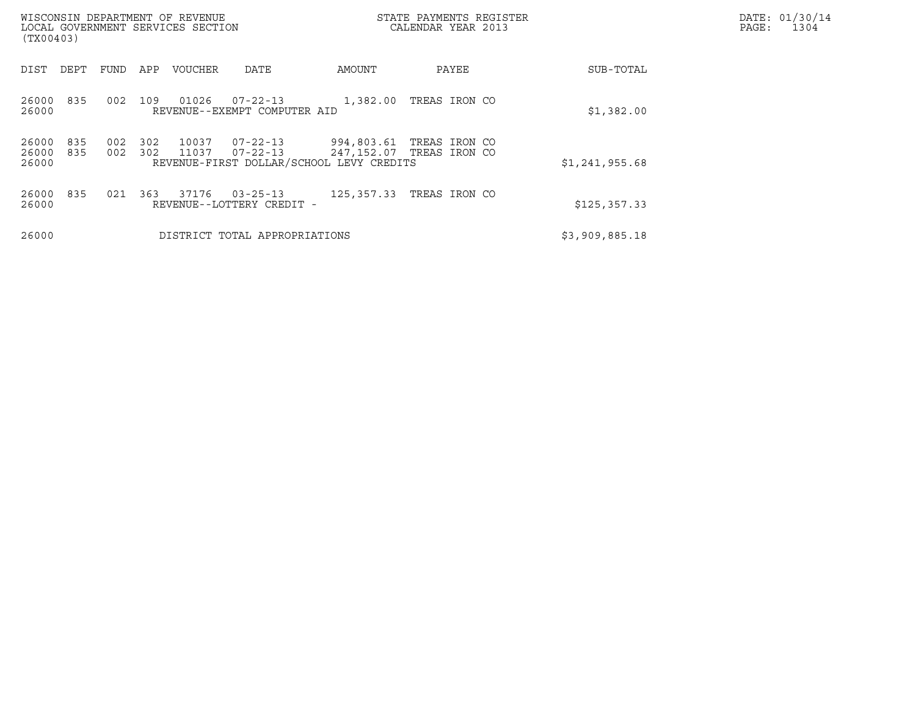| WISCONSIN DEPARTMENT OF REVENUE<br>LOCAL GOVERNMENT SERVICES SECTION<br>(TX00403) |            |            |                |                                                                              |                          | STATE PAYMENTS REGISTER<br>CALENDAR YEAR 2013 |                | DATE: 01/30/14<br>PAGE:<br>1304 |
|-----------------------------------------------------------------------------------|------------|------------|----------------|------------------------------------------------------------------------------|--------------------------|-----------------------------------------------|----------------|---------------------------------|
| DEPT<br>DIST                                                                      | FUND       | APP        | <b>VOUCHER</b> | DATE                                                                         | AMOUNT                   | PAYEE                                         | SUB-TOTAL      |                                 |
| 835<br>26000<br>26000                                                             | 002        | 109        | 01026          | 07-22-13<br>REVENUE--EXEMPT COMPUTER AID                                     | 1,382.00                 | TREAS IRON CO                                 | \$1,382.00     |                                 |
| 26000<br>835<br>26000<br>835<br>26000                                             | 002<br>002 | 302<br>302 | 10037<br>11037 | $07 - 22 - 13$<br>$07 - 22 - 13$<br>REVENUE-FIRST DOLLAR/SCHOOL LEVY CREDITS | 994,803.61<br>247,152.07 | TREAS IRON CO<br>TREAS IRON CO                | \$1,241,955.68 |                                 |
| 835<br>26000<br>26000                                                             | 021        | 363        | 37176          | $03 - 25 - 13$<br>REVENUE--LOTTERY CREDIT -                                  | 125,357.33               | TREAS IRON CO                                 | \$125, 357.33  |                                 |
| 26000                                                                             |            |            |                | DISTRICT TOTAL APPROPRIATIONS                                                |                          |                                               | \$3,909,885.18 |                                 |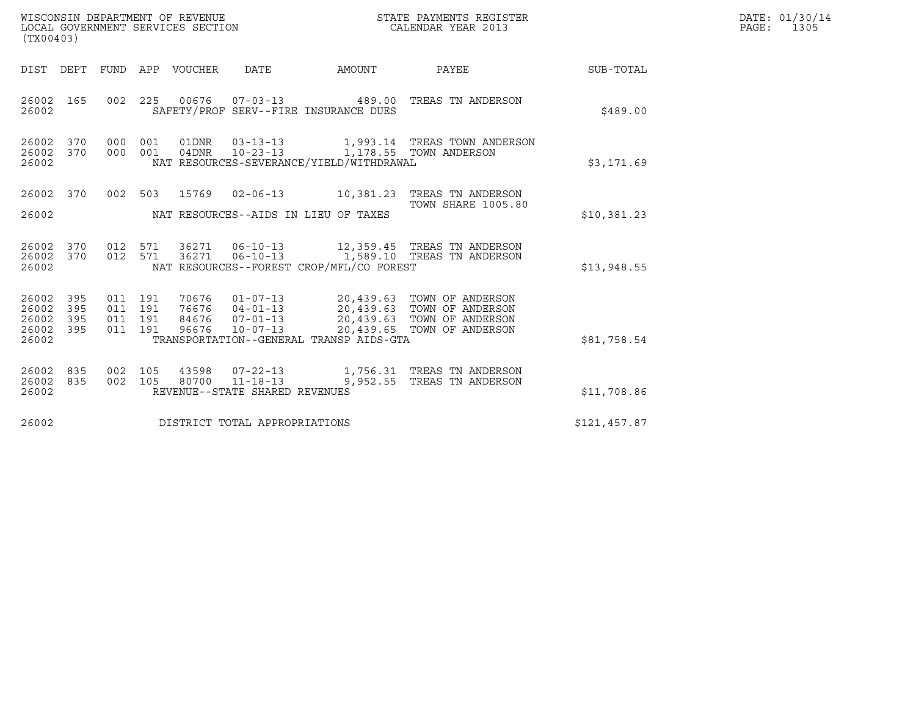| WISCONSIN DEPARTMENT OF REVENUE   | STATE PAYMENTS REGISTER | DATE: 01/30/14 |
|-----------------------------------|-------------------------|----------------|
| LOCAL GOVERNMENT SERVICES SECTION | CALENDAR YEAR 2013      | 1305<br>PAGE:  |

| (TX00403)                                     |                   |                               |         | WISCONSIN DEPARTMENT OF REVENUE<br>LOCAL GOVERNMENT SERVICES SECTION |                                |                                          | STATE PAYMENTS REGISTER<br>CALENDAR YEAR 2013                                                                                                                                                |              | DATE: 01/30/14<br>PAGE: 1305 |
|-----------------------------------------------|-------------------|-------------------------------|---------|----------------------------------------------------------------------|--------------------------------|------------------------------------------|----------------------------------------------------------------------------------------------------------------------------------------------------------------------------------------------|--------------|------------------------------|
|                                               |                   |                               |         | DIST DEPT FUND APP VOUCHER DATE                                      |                                | AMOUNT                                   | PAYEE                                                                                                                                                                                        | SUB-TOTAL    |                              |
| 26002 165<br>26002                            |                   |                               |         |                                                                      |                                | SAFETY/PROF SERV--FIRE INSURANCE DUES    | 002 225 00676 07-03-13 489.00 TREAS TN ANDERSON                                                                                                                                              | \$489.00     |                              |
| 26002 370<br>26002 370<br>26002               |                   |                               |         |                                                                      |                                | NAT RESOURCES-SEVERANCE/YIELD/WITHDRAWAL | 000 001 01DNR 03-13-13 1,993.14 TREAS TOWN ANDERSON 000 001 04DNR 10-23-13 1,178.55 TOWN ANDERSON                                                                                            | \$3,171.69   |                              |
| 26002 370                                     |                   |                               |         |                                                                      |                                |                                          | 002 503 15769 02-06-13 10,381.23 TREAS TN ANDERSON<br>TOWN SHARE 1005.80                                                                                                                     |              |                              |
| 26002                                         |                   |                               |         |                                                                      |                                | NAT RESOURCES--AIDS IN LIEU OF TAXES     |                                                                                                                                                                                              | \$10,381.23  |                              |
| 26002 370<br>26002 370<br>26002               |                   |                               |         |                                                                      |                                | NAT RESOURCES--FOREST CROP/MFL/CO FOREST | 012 571 36271 06-10-13 12,359.45 TREAS TN ANDERSON<br>012 571 36271 06-10-13 1,589.10 TREAS TN ANDERSON                                                                                      | \$13,948.55  |                              |
| 26002<br>26002<br>26002<br>26002 395<br>26002 | 395<br>395<br>395 | 011 191<br>011 191<br>011 191 | 011 191 |                                                                      |                                | TRANSPORTATION--GENERAL TRANSP AIDS-GTA  | 70676  01-07-13  20,439.63  TOWN OF ANDERSON<br>76676  04-01-13  20,439.63  TOWN OF ANDERSON<br>84676  07-01-13  20,439.63  TOWN OF ANDERSON<br>96676  10-07-13  20,439.65  TOWN OF ANDERSON | \$81,758.54  |                              |
| 26002 835<br>26002 835<br>26002               |                   |                               |         |                                                                      | REVENUE--STATE SHARED REVENUES |                                          | 002  105  43598  07-22-13   1,756.31  TREAS TN ANDERSON<br>002 105 80700 11-18-13 9,952.55 TREAS TN ANDERSON                                                                                 | \$11,708.86  |                              |
| 26002<br>DISTRICT TOTAL APPROPRIATIONS        |                   |                               |         |                                                                      |                                |                                          |                                                                                                                                                                                              | \$121,457.87 |                              |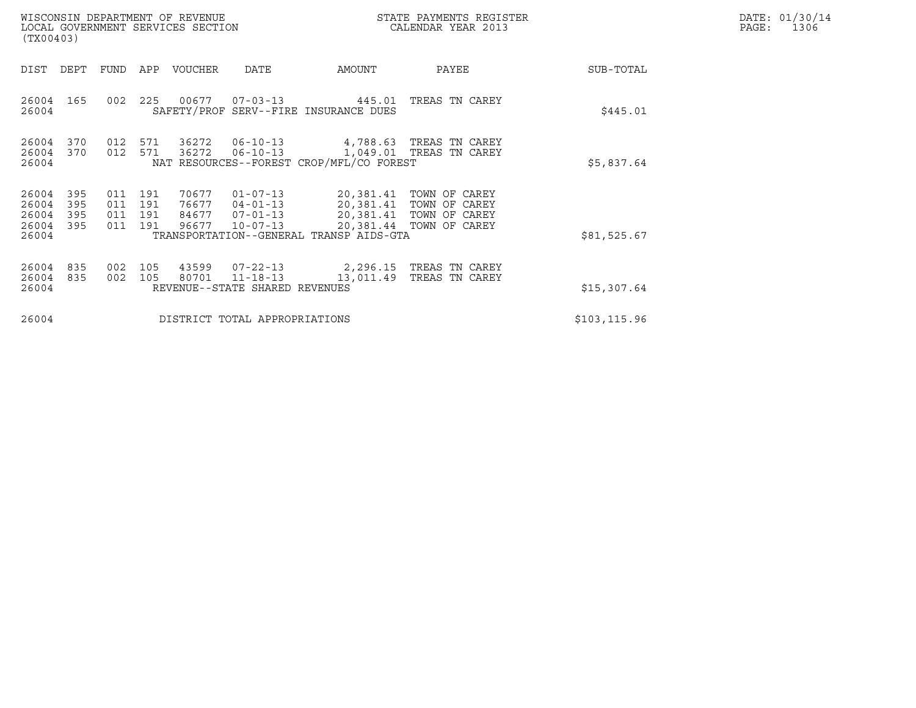| WISCONSIN DEPARTMENT OF REVENUE<br>LOCAL GOVERNMENT SERVICES SECTION<br>(TX00403) |                          |                          |                                  |                                                                              |                                                                | STATE PAYMENTS REGISTER<br>CALENDAR YEAR 2013                                                  |             | DATE: 01/30/14<br>PAGE:<br>1306 |
|-----------------------------------------------------------------------------------|--------------------------|--------------------------|----------------------------------|------------------------------------------------------------------------------|----------------------------------------------------------------|------------------------------------------------------------------------------------------------|-------------|---------------------------------|
| DIST<br>DEPT                                                                      | FUND                     | APP                      | VOUCHER                          | <b>DATE</b>                                                                  | AMOUNT                                                         | PAYEE                                                                                          | SUB-TOTAL   |                                 |
| 26004<br>165<br>26004                                                             | 002                      | 225                      | 00677                            |                                                                              | $07 - 03 - 13$ 445.01<br>SAFETY/PROF SERV--FIRE INSURANCE DUES | TREAS TN CAREY                                                                                 | \$445.01    |                                 |
| 26004<br>370<br>370<br>26004<br>26004                                             | 012<br>012               | 571<br>571               | 36272<br>36272                   | $06 - 10 - 13$<br>$06 - 10 - 13$<br>NAT RESOURCES--FOREST CROP/MFL/CO FOREST | \$5,837.64                                                     |                                                                                                |             |                                 |
| 395<br>26004<br>26004<br>395<br>26004<br>395<br>26004<br>395<br>26004             | 011<br>011<br>011<br>011 | 191<br>191<br>191<br>191 | 70677<br>76677<br>84677<br>96677 | $01 - 07 - 13$<br>$04 - 01 - 13$<br>$07 - 01 - 13$<br>$10 - 07 - 13$         | 20,381.41<br>TRANSPORTATION--GENERAL TRANSP AIDS-GTA           | 20,381.41 TOWN OF CAREY<br>TOWN OF CAREY<br>20,381.41 TOWN OF CAREY<br>20,381.44 TOWN OF CAREY | \$81,525.67 |                                 |
| 26004<br>835<br>835<br>26004<br>26004                                             | 002<br>002               | 105<br>105               | 43599<br>80701                   | $07 - 22 - 13$<br>$11 - 18 - 13$<br>REVENUE--STATE SHARED REVENUES           | \$15,307.64                                                    |                                                                                                |             |                                 |
| 26004                                                                             |                          |                          |                                  | DISTRICT TOTAL APPROPRIATIONS                                                | \$103, 115.96                                                  |                                                                                                |             |                                 |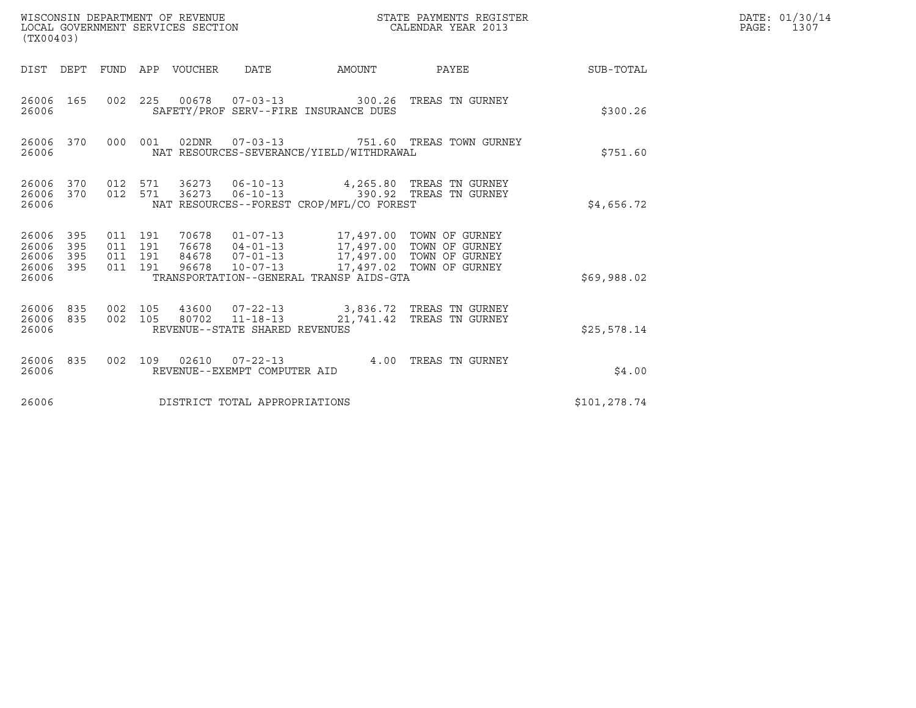| (TX00403)                                     |                                                                                                                                                        |                                          |  | WISCONSIN DEPARTMENT OF REVENUE<br>LOCAL GOVERNMENT SERVICES SECTION |                                                 |                                                                                                                                                                                           | STATE PAYMENTS REGISTER<br>CALENDAR YEAR 2013                                             |             | DATE: 01/30/14<br>$\mathtt{PAGE:}$<br>1307 |
|-----------------------------------------------|--------------------------------------------------------------------------------------------------------------------------------------------------------|------------------------------------------|--|----------------------------------------------------------------------|-------------------------------------------------|-------------------------------------------------------------------------------------------------------------------------------------------------------------------------------------------|-------------------------------------------------------------------------------------------|-------------|--------------------------------------------|
|                                               |                                                                                                                                                        |                                          |  | DIST DEPT FUND APP VOUCHER                                           | DATE                                            | AMOUNT                                                                                                                                                                                    | PAYEE                                                                                     | SUB-TOTAL   |                                            |
| 26006 165<br>26006                            |                                                                                                                                                        |                                          |  |                                                                      |                                                 | SAFETY/PROF SERV--FIRE INSURANCE DUES                                                                                                                                                     | 002  225  00678  07-03-13  300.26  TREAS TN GURNEY                                        | \$300.26    |                                            |
| 26006 370<br>26006                            |                                                                                                                                                        |                                          |  |                                                                      | 000 001 02DNR 07-03-13                          | NAT RESOURCES-SEVERANCE/YIELD/WITHDRAWAL                                                                                                                                                  | 751.60 TREAS TOWN GURNEY                                                                  | \$751.60    |                                            |
| 26006 370<br>26006 370<br>26006               | 012 571 36273 06-10-13 4,265.80 TREAS TN GURNEY<br>36273  06-10-13    390.92    TREAS TN GURNEY<br>012 571<br>NAT RESOURCES--FOREST CROP/MFL/CO FOREST |                                          |  |                                                                      |                                                 |                                                                                                                                                                                           |                                                                                           | \$4,656.72  |                                            |
| 26006 395<br>26006<br>26006<br>26006<br>26006 | 395<br>395<br>395                                                                                                                                      | 011 191<br>011 191<br>011 191<br>011 191 |  | 70678                                                                |                                                 | 01-07-13 17,497.00 TOWN OF GURNEY<br>76678  04-01-13<br>84678  07-01-13  17,497.00 TOWN OF GURNEY<br>96678  10-07-13  17,497.02 TOWN OF GURNEY<br>TRANSPORTATION--GENERAL TRANSP AIDS-GTA |                                                                                           | \$69,988.02 |                                            |
| 26006<br>26006 835<br>26006                   | 835                                                                                                                                                    | 002 105<br>002 105                       |  |                                                                      | REVENUE--STATE SHARED REVENUES                  |                                                                                                                                                                                           | 43600  07-22-13  3,836.72  TREAS TN GURNEY<br>80702  11-18-13  21,741.42  TREAS TN GURNEY | \$25,578.14 |                                            |
| 26006 835<br>26006                            |                                                                                                                                                        | 002 109                                  |  |                                                                      | 02610  07-22-13<br>REVENUE--EXEMPT COMPUTER AID |                                                                                                                                                                                           | 4.00 TREAS TN GURNEY                                                                      | \$4.00      |                                            |
| 26006<br>DISTRICT TOTAL APPROPRIATIONS        |                                                                                                                                                        |                                          |  |                                                                      |                                                 |                                                                                                                                                                                           | \$101,278.74                                                                              |             |                                            |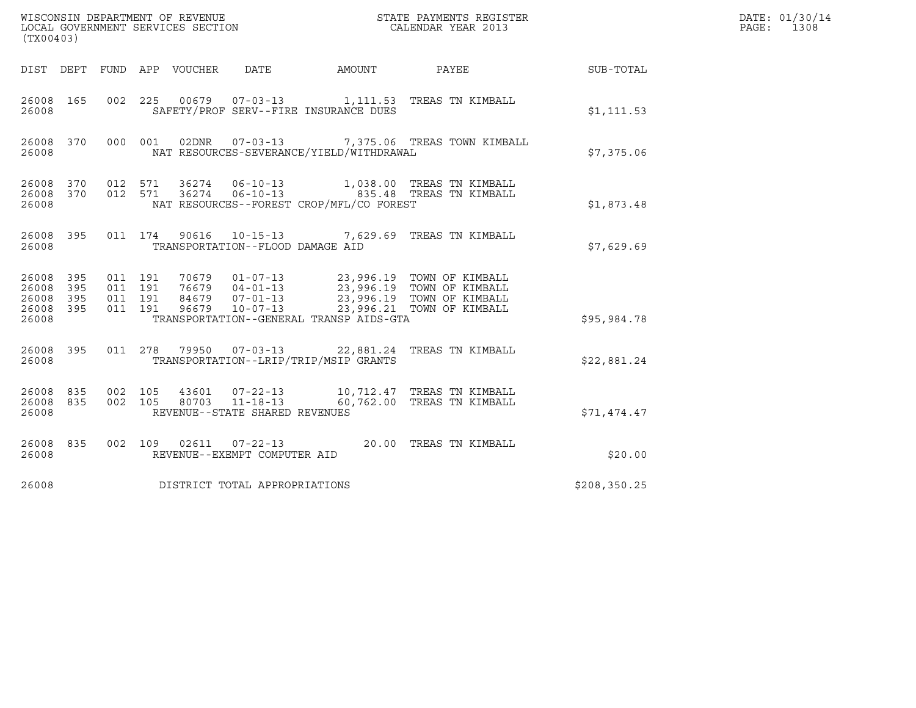| (TX00403)                                             |     |                                          |                               |                                  |                                          | DATE: 01/30/14<br>PAGE:<br>1308                                                                                        |               |  |
|-------------------------------------------------------|-----|------------------------------------------|-------------------------------|----------------------------------|------------------------------------------|------------------------------------------------------------------------------------------------------------------------|---------------|--|
|                                                       |     |                                          | DIST DEPT FUND APP VOUCHER    | DATE                             | AMOUNT                                   | PAYEE                                                                                                                  | SUB-TOTAL     |  |
| 26008 165<br>26008                                    |     |                                          |                               |                                  | SAFETY/PROF SERV--FIRE INSURANCE DUES    | 002 225 00679 07-03-13 1,111.53 TREAS TN KIMBALL                                                                       | \$1,111.53    |  |
| 26008                                                 |     |                                          |                               |                                  | NAT RESOURCES-SEVERANCE/YIELD/WITHDRAWAL | 26008 370 000 001 02DNR 07-03-13 7,375.06 TREAS TOWN KIMBALL                                                           | \$7,375.06    |  |
| 26008                                                 |     |                                          |                               |                                  | NAT RESOURCES--FOREST CROP/MFL/CO FOREST | 26008 370 012 571 36274 06-10-13 1,038.00 TREAS TN KIMBALL<br>26008 370 012 571 36274 06-10-13 835.48 TREAS TN KIMBALL | \$1,873.48    |  |
| 26008 395<br>26008                                    |     |                                          |                               | TRANSPORTATION--FLOOD DAMAGE AID |                                          | 011 174 90616 10-15-13 7,629.69 TREAS TN KIMBALL                                                                       | \$7,629.69    |  |
| 26008 395<br>26008<br>26008 395<br>26008 395<br>26008 | 395 | 011 191<br>011 191<br>011 191<br>011 191 |                               |                                  | TRANSPORTATION--GENERAL TRANSP AIDS-GTA  |                                                                                                                        | \$95,984.78   |  |
| 26008 395<br>26008                                    |     |                                          |                               |                                  | TRANSPORTATION--LRIP/TRIP/MSIP GRANTS    | 011 278 79950 07-03-13 22,881.24 TREAS TN KIMBALL                                                                      | \$22,881.24   |  |
| 26008 835<br>26008 835<br>26008                       |     | 002 105                                  | 002 105 80703 11-18-13        | REVENUE--STATE SHARED REVENUES   |                                          | 43601  07-22-13  10,712.47  TREAS TN KIMBALL<br>60,762.00 TREAS TN KIMBALL                                             | \$71,474.47   |  |
| 26008 835<br>26008                                    |     |                                          |                               | REVENUE--EXEMPT COMPUTER AID     |                                          | 002 109 02611 07-22-13 20.00 TREAS TN KIMBALL                                                                          | \$20.00       |  |
| 26008                                                 |     |                                          | DISTRICT TOTAL APPROPRIATIONS |                                  |                                          |                                                                                                                        | \$208, 350.25 |  |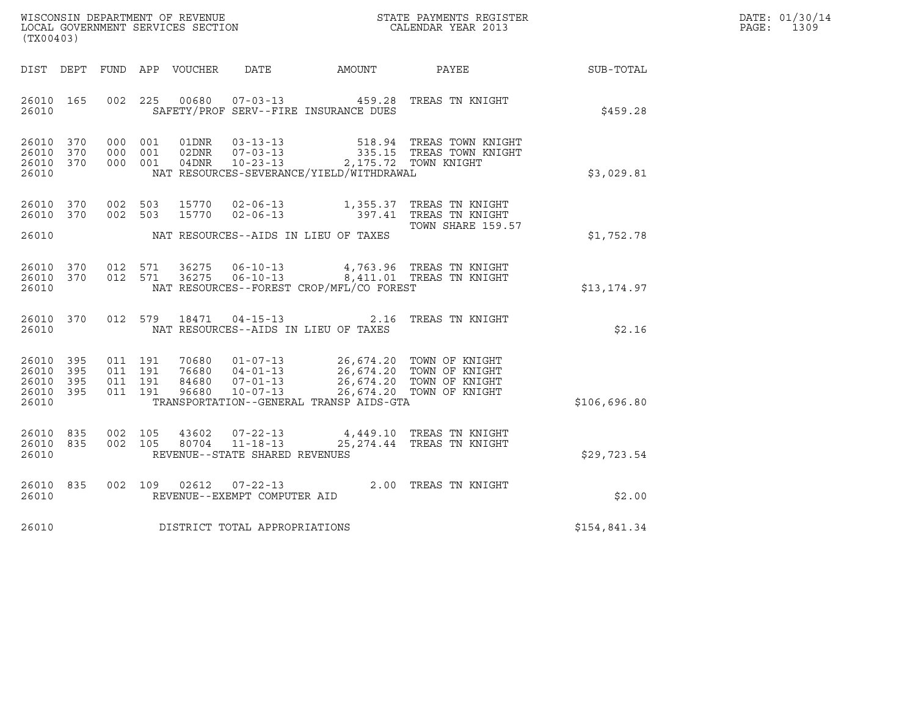| WISCONSIN DEPARTMENT OF REVENUE   | STATE PAYMENTS REGISTER | DATE: 01/30/14 |
|-----------------------------------|-------------------------|----------------|
| LOCAL GOVERNMENT SERVICES SECTION | CALENDAR YEAR 2013      | 1309<br>PAGE:  |

|                                                           | (TX00403) |  |  |  |                                     |                                                                                                                                                                                                                                                     |                                                                                                                                                                         |              | DATE: 01/30/14<br>PAGE: 1309 |
|-----------------------------------------------------------|-----------|--|--|--|-------------------------------------|-----------------------------------------------------------------------------------------------------------------------------------------------------------------------------------------------------------------------------------------------------|-------------------------------------------------------------------------------------------------------------------------------------------------------------------------|--------------|------------------------------|
|                                                           |           |  |  |  |                                     | DIST DEPT FUND APP VOUCHER DATE AMOUNT PAYEE                                                                                                                                                                                                        |                                                                                                                                                                         | SUB-TOTAL    |                              |
| 26010 165<br>26010                                        |           |  |  |  |                                     | SAFETY/PROF SERV--FIRE INSURANCE DUES                                                                                                                                                                                                               | 002 225 00680 07-03-13 459.28 TREAS TN KNIGHT                                                                                                                           | \$459.28     |                              |
| 26010 370<br>26010 370<br>26010 370<br>26010              |           |  |  |  |                                     | NAT RESOURCES-SEVERANCE/YIELD/WITHDRAWAL                                                                                                                                                                                                            | 000 001 01DNR 03-13-13 518.94 TREAS TOWN KNIGHT<br>000 001 02DNR 07-03-13 335.15 TREAS TOWN KNIGHT<br>000 001 04DNR 10-23-13 2,175.72 TOWN KNIGHT                       | \$3,029.81   |                              |
| 26010 370<br>26010 370                                    |           |  |  |  |                                     |                                                                                                                                                                                                                                                     | 002 503 15770 02-06-13 1,355.37 TREAS TN KNIGHT<br>002 503 15770 02-06-13 397.41 TREAS TN KNIGHT                                                                        |              |                              |
|                                                           |           |  |  |  |                                     | 26010 NAT RESOURCES--AIDS IN LIEU OF TAXES                                                                                                                                                                                                          | TOWN SHARE 159.57                                                                                                                                                       | \$1,752.78   |                              |
| 26010 370<br>26010 370<br>26010                           |           |  |  |  |                                     | NAT RESOURCES--FOREST CROP/MFL/CO FOREST                                                                                                                                                                                                            | 012 571 36275 06-10-13 4,763.96 TREAS TN KNIGHT<br>012 571 36275 06-10-13 8,411.01 TREAS TN KNIGHT                                                                      | \$13, 174.97 |                              |
| 26010                                                     |           |  |  |  |                                     | NAT RESOURCES--AIDS IN LIEU OF TAXES                                                                                                                                                                                                                | 26010 370 012 579 18471 04-15-13 2.16 TREAS TN KNIGHT                                                                                                                   | \$2.16       |                              |
| 26010 395<br>26010 395<br>26010 395<br>26010 395<br>26010 |           |  |  |  |                                     | 011 191 70680 01-07-13 26,674.20 TOWN OF KNIGHT<br>011 191 76680 04-01-13 26,674.20 TOWN OF KNIGHT<br>011 191 84680 07-01-13 26,674.20 TOWN OF KNIGHT<br>011 191 96680 10-07-13 26,674.20 TOWN OF KNIGHT<br>TRANSPORTATION--GENERAL TRANSP AIDS-GTA |                                                                                                                                                                         | \$106,696.80 |                              |
| 26010 835<br>26010 835<br>26010                           |           |  |  |  | REVENUE--STATE SHARED REVENUES      |                                                                                                                                                                                                                                                     | $\begin{array}{cccc} 002 & 105 & 43602 & 07-22-13 & 4,449.10 & \text{TREAS TN KNIGHT} \\ 002 & 105 & 80704 & 11-18-13 & 25,274.44 & \text{TREAS TN KNIGHT} \end{array}$ | \$29,723.54  |                              |
| 26010 835<br>26010                                        |           |  |  |  | REVENUE--EXEMPT COMPUTER AID        |                                                                                                                                                                                                                                                     | 002 109 02612 07-22-13 2.00 TREAS TN KNIGHT                                                                                                                             | \$2.00       |                              |
|                                                           |           |  |  |  | 26010 DISTRICT TOTAL APPROPRIATIONS |                                                                                                                                                                                                                                                     |                                                                                                                                                                         | \$154,841.34 |                              |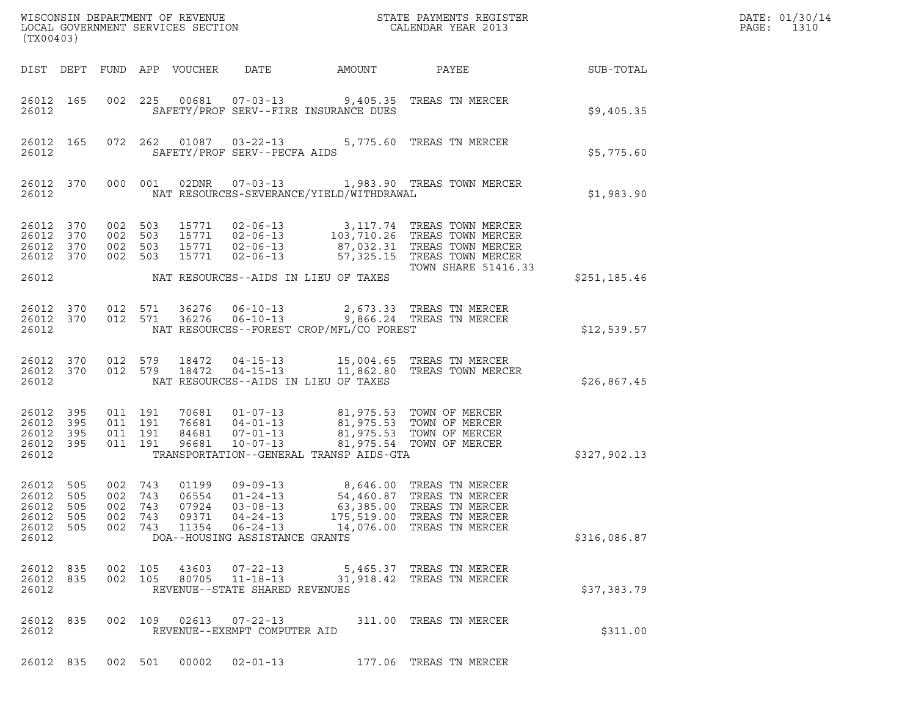| (TX00403)                                              |                          |                                          |                       |                                  |                                                                                                                           |                                          |                                                                                                                                                                                                                     |              | DATE: 01/30/14<br>PAGE:<br>1310 |
|--------------------------------------------------------|--------------------------|------------------------------------------|-----------------------|----------------------------------|---------------------------------------------------------------------------------------------------------------------------|------------------------------------------|---------------------------------------------------------------------------------------------------------------------------------------------------------------------------------------------------------------------|--------------|---------------------------------|
|                                                        |                          |                                          |                       | DIST DEPT FUND APP VOUCHER       | DATE                                                                                                                      | AMOUNT                                   | PAYEE                                                                                                                                                                                                               | SUB-TOTAL    |                                 |
| 26012                                                  | 26012 165                |                                          |                       |                                  |                                                                                                                           | SAFETY/PROF SERV--FIRE INSURANCE DUES    | 002 225 00681 07-03-13 9,405.35 TREAS TN MERCER                                                                                                                                                                     | \$9,405.35   |                                 |
| 26012                                                  | 26012 165                |                                          |                       |                                  | SAFETY/PROF SERV--PECFA AIDS                                                                                              |                                          | 072  262  01087  03-22-13  5,775.60  TREAS TN MERCER                                                                                                                                                                | \$5,775.60   |                                 |
| 26012                                                  | 26012 370                |                                          |                       |                                  |                                                                                                                           | NAT RESOURCES-SEVERANCE/YIELD/WITHDRAWAL | 000 001 02DNR 07-03-13 1,983.90 TREAS TOWN MERCER                                                                                                                                                                   | \$1,983.90   |                                 |
| 26012 370<br>26012<br>26012 370<br>26012 370           | 370                      | 002 503<br>002 503<br>002 503            | 002 503               |                                  |                                                                                                                           |                                          | 15771  02-06-13  3,117.74 TREAS TOWN MERCER<br>15771  02-06-13  103,710.26 TREAS TOWN MERCER<br>15771  02-06-13  87,032.31 TREAS TOWN MERCER<br>15771  02-06-13  57,325.15 TREAS TOWN MERCER<br>TOWN SHARE 51416.33 |              |                                 |
| 26012                                                  |                          |                                          |                       |                                  |                                                                                                                           | NAT RESOURCES--AIDS IN LIEU OF TAXES     |                                                                                                                                                                                                                     | \$251,185.46 |                                 |
| 26012                                                  |                          |                                          |                       |                                  |                                                                                                                           | NAT RESOURCES--FOREST CROP/MFL/CO FOREST | $\begin{array}{cccccc} 26012 & 370 & 012 & 571 & 36276 & 06-10-13 & & 2,673.33 & \text{TREAS TN MERCER} \\ 26012 & 370 & 012 & 571 & 36276 & 06-10-13 & & 9,866.24 & \text{TREAS TN MERCER} \end{array}$            | \$12,539.57  |                                 |
| 26012                                                  | 26012 370<br>26012 370   | 012 579                                  |                       | 18472<br>012 579 18472           |                                                                                                                           | NAT RESOURCES--AIDS IN LIEU OF TAXES     | 04-15-13 15,004.65 TREAS TN MERCER<br>04-15-13 11,862.80 TREAS TOWN MERCER                                                                                                                                          | \$26,867.45  |                                 |
| 26012 395<br>26012<br>26012 395<br>26012 395<br>26012  | 395                      | 011 191<br>011 191<br>011 191<br>011 191 |                       |                                  |                                                                                                                           | TRANSPORTATION--GENERAL TRANSP AIDS-GTA  | 70681  01-07-13  81,975.53  TOWN OF MERCER<br>76681  04-01-13  81,975.53  TOWN OF MERCER<br>84681  07-01-13  81,975.53  TOWN OF MERCER<br>96681  10-07-13  81,975.54  TOWN OF MERCER                                | \$327,902.13 |                                 |
| 26012<br>26012 505<br>26012<br>26012<br>26012<br>26012 | 505<br>505<br>505<br>505 | 002 743<br>002 743<br>002<br>002         | 743<br>743<br>002 743 | 06554<br>07924<br>09371<br>11354 | 01199  09-09-13<br>$01 - 24 - 13$<br>$03 - 08 - 13$<br>$04 - 24 - 13$<br>$06 - 24 - 13$<br>DOA--HOUSING ASSISTANCE GRANTS | 63,385.00                                | 8,646.00 TREAS TN MERCER<br>54,460.87 TREAS TN MERCER<br>TREAS TN MERCER<br>175,519.00 TREAS TN MERCER<br>14,076.00 TREAS TN MERCER                                                                                 | \$316,086.87 |                                 |
| 26012<br>26012 835<br>26012                            | 835                      | 002 105                                  | 002 105               | 43603<br>80705                   | $07 - 22 - 13$<br>$11 - 18 - 13$<br>REVENUE--STATE SHARED REVENUES                                                        |                                          | 5,465.37 TREAS TN MERCER<br>31,918.42 TREAS TN MERCER                                                                                                                                                               | \$37,383.79  |                                 |
| 26012 835<br>26012                                     |                          |                                          | 002 109               | 02613                            | $07 - 22 - 13$<br>REVENUE--EXEMPT COMPUTER AID                                                                            |                                          | 311.00 TREAS TN MERCER                                                                                                                                                                                              | \$311.00     |                                 |
| 26012 835                                              |                          | 002 501                                  |                       | 00002                            | $02 - 01 - 13$                                                                                                            |                                          | 177.06 TREAS TN MERCER                                                                                                                                                                                              |              |                                 |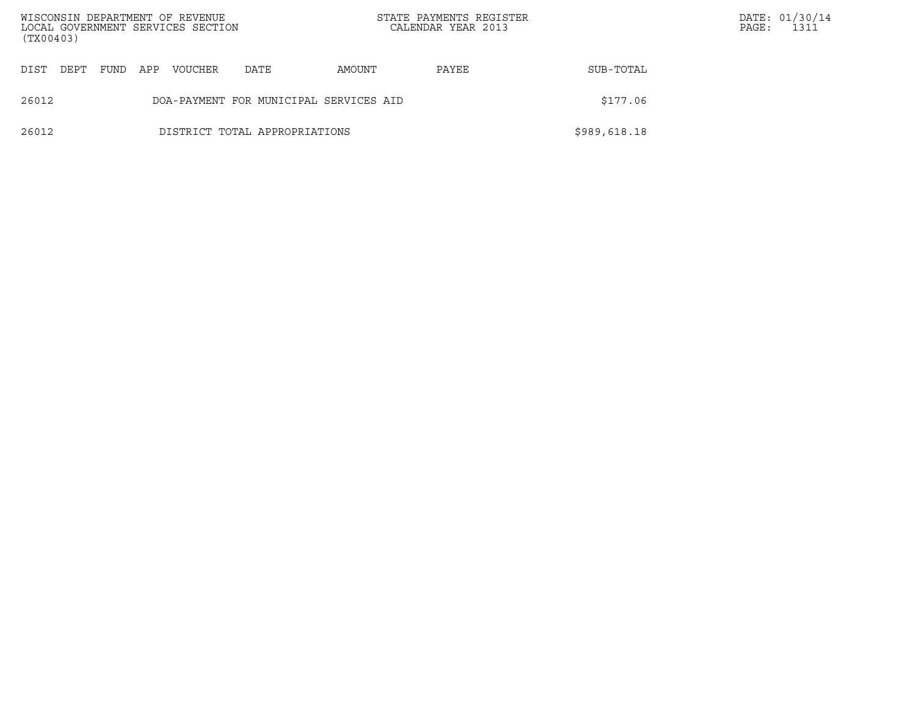| (TX00403) |      |      |     | WISCONSIN DEPARTMENT OF REVENUE<br>LOCAL GOVERNMENT SERVICES SECTION |                                        |        | STATE PAYMENTS REGISTER<br>CALENDAR YEAR 2013 |              | PAGE: | DATE: 01/30/14<br>1311 |
|-----------|------|------|-----|----------------------------------------------------------------------|----------------------------------------|--------|-----------------------------------------------|--------------|-------|------------------------|
| DIST      | DEPT | FUND | APP | <b>VOUCHER</b>                                                       | DATE                                   | AMOUNT | PAYEE                                         | SUB-TOTAL    |       |                        |
| 26012     |      |      |     |                                                                      | DOA-PAYMENT FOR MUNICIPAL SERVICES AID |        |                                               | \$177.06     |       |                        |
| 26012     |      |      |     |                                                                      | DISTRICT TOTAL APPROPRIATIONS          |        |                                               | \$989,618.18 |       |                        |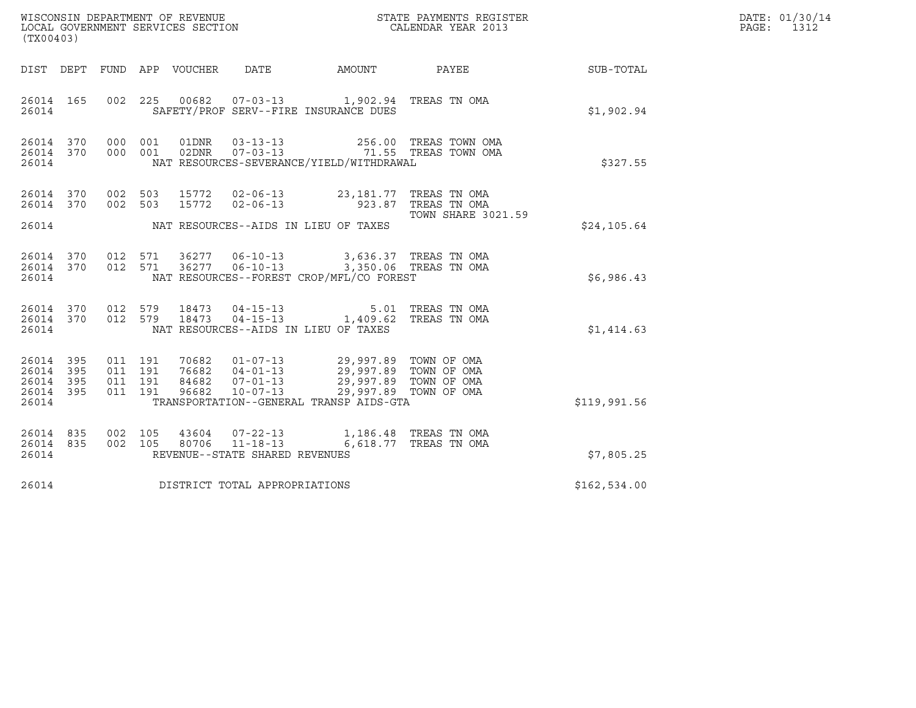| WISCONSIN DEPARTMENT OF REVENUE<br>LOCAL GOVERNMENT SERVICES SECTION<br>LOCAL GOVERNMENT SERVICES SECTION<br>CALENDAR YEAR 2013<br>(TX00403) |                   |                                          |         |                  |                                |                                                                                                                                                                                                              | STATE PAYMENTS REGISTER                              |              | DATE: 01/30/14<br>PAGE:<br>1312 |
|----------------------------------------------------------------------------------------------------------------------------------------------|-------------------|------------------------------------------|---------|------------------|--------------------------------|--------------------------------------------------------------------------------------------------------------------------------------------------------------------------------------------------------------|------------------------------------------------------|--------------|---------------------------------|
| DIST DEPT                                                                                                                                    |                   |                                          |         | FUND APP VOUCHER | DATE                           | AMOUNT PAYEE                                                                                                                                                                                                 |                                                      | SUB-TOTAL    |                                 |
| 26014 165<br>26014                                                                                                                           |                   |                                          |         |                  |                                | 002 225 00682 07-03-13 1,902.94 TREAS TN OMA<br>SAFETY/PROF SERV--FIRE INSURANCE DUES                                                                                                                        |                                                      | \$1,902.94   |                                 |
| 26014 370<br>26014                                                                                                                           |                   | 26014 370 000 001<br>000 001             |         | 01DNR<br>02DNR   |                                | NAT RESOURCES-SEVERANCE/YIELD/WITHDRAWAL                                                                                                                                                                     |                                                      | \$327.55     |                                 |
| 26014 370<br>26014 370                                                                                                                       |                   | 002 503<br>002 503                       |         | 15772<br>15772   | $02 - 06 - 13$                 | 02-06-13 23,181.77 TREAS TN OMA                                                                                                                                                                              | 923.87   TREAS  TN  OMA<br><b>TOWN SHARE 3021.59</b> |              |                                 |
| 26014                                                                                                                                        |                   |                                          |         |                  |                                | NAT RESOURCES--AIDS IN LIEU OF TAXES                                                                                                                                                                         |                                                      | \$24,105.64  |                                 |
| 26014 370<br>26014                                                                                                                           | 26014 370         | 012 571<br>012 571                       |         | 36277            |                                | 06-10-13 3,636.37 TREAS TN OMA<br>36277  06-10-13  3,350.06  TREAS TN OMA<br>NAT RESOURCES--FOREST CROP/MFL/CO FOREST                                                                                        |                                                      | \$6,986.43   |                                 |
| 26014 370<br>26014                                                                                                                           | 26014 370         |                                          |         |                  |                                | $\begin{array}{cccccc} 012 & 579 & 18473 & 04-15-13 & & & 5.01 & \text{TREAS TN OMA} \\ 012 & 579 & 18473 & 04-15-13 & & 1,409.62 & \text{TREAS TN OMA} \end{array}$<br>NAT RESOURCES--AIDS IN LIEU OF TAXES |                                                      | \$1,414.63   |                                 |
| 26014 395<br>26014<br>26014<br>26014<br>26014                                                                                                | 395<br>395<br>395 | 011 191<br>011 191<br>011 191<br>011 191 |         | 96682            | $10 - 07 - 13$                 | 70682 01-07-13 29,997.89 TOWN OF OMA<br>76682 04-01-13 29,997.89 TOWN OF OMA<br>84682 07-01-13 29,997.89 TOWN OF OMA<br>TRANSPORTATION--GENERAL TRANSP AIDS-GTA                                              | 29,997.89 TOWN OF OMA                                | \$119,991.56 |                                 |
| 26014 835<br>26014 835<br>26014                                                                                                              |                   | 002 105                                  | 002 105 |                  | REVENUE--STATE SHARED REVENUES | 43604  07-22-13  1,186.48  TREAS TN OMA<br>80706  11-18-13   6,618.77  TREAS TN OMA                                                                                                                          |                                                      | \$7,805.25   |                                 |
| 26014                                                                                                                                        |                   |                                          |         |                  | DISTRICT TOTAL APPROPRIATIONS  |                                                                                                                                                                                                              |                                                      | \$162,534.00 |                                 |
|                                                                                                                                              |                   |                                          |         |                  |                                |                                                                                                                                                                                                              |                                                      |              |                                 |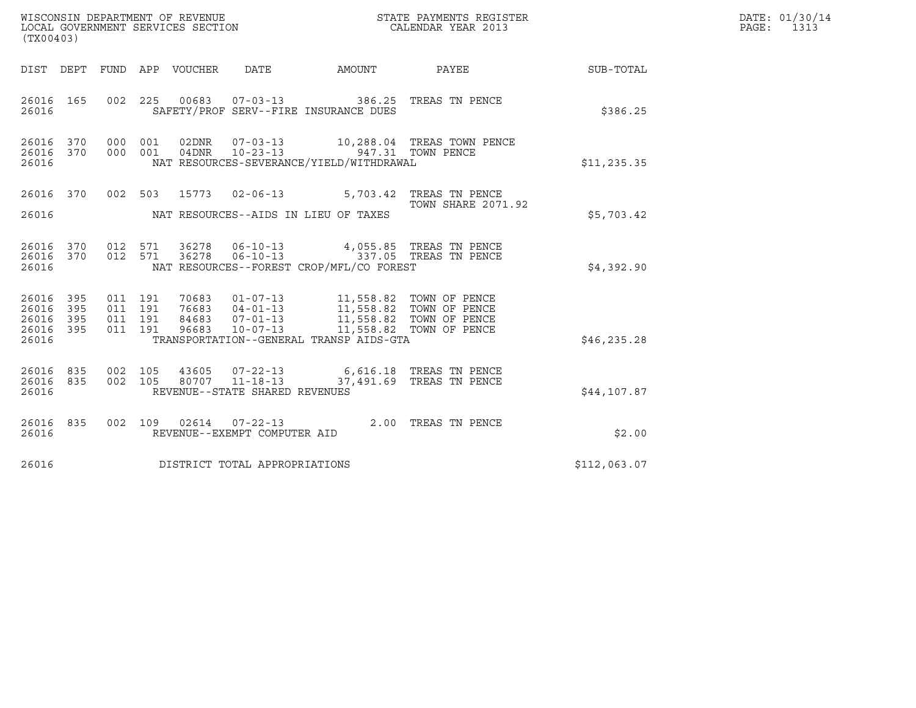| WISCONSIN DEPARTMENT OF REVENUE<br>STATE PAYMENTS REGISTER<br>LOCAL GOVERNMENT SERVICES SECTION<br>CALENDAR YEAR 2013<br>(TX00403) |            |                                          |  |                                 |                                |                                                                                                                                                                                                                                  |                                                 |              | DATE: 01/30/14<br>PAGE: 1313 |
|------------------------------------------------------------------------------------------------------------------------------------|------------|------------------------------------------|--|---------------------------------|--------------------------------|----------------------------------------------------------------------------------------------------------------------------------------------------------------------------------------------------------------------------------|-------------------------------------------------|--------------|------------------------------|
|                                                                                                                                    |            |                                          |  | DIST DEPT FUND APP VOUCHER DATE |                                |                                                                                                                                                                                                                                  | AMOUNT PAYEE SUB-TOTAL                          |              |                              |
| 26016 165<br>26016                                                                                                                 |            | 002 225                                  |  | 00683                           |                                | 07-03-13 386.25 TREAS TN PENCE<br>SAFETY/PROF SERV--FIRE INSURANCE DUES                                                                                                                                                          |                                                 | \$386.25     |                              |
| 26016 370<br>26016                                                                                                                 |            | 26016 370 000 001<br>000 001             |  |                                 | $04DNR$ $10-23-13$             | NAT RESOURCES-SEVERANCE/YIELD/WITHDRAWAL                                                                                                                                                                                         | 10,288.04 TREAS TOWN PENCE<br>947.31 TOWN PENCE | \$11, 235.35 |                              |
| 26016                                                                                                                              |            |                                          |  |                                 |                                | 26016 370 002 503 15773 02-06-13 5,703.42 TREAS TN PENCE<br>NAT RESOURCES--AIDS IN LIEU OF TAXES                                                                                                                                 | <b>TOWN SHARE 2071.92</b>                       | \$5,703.42   |                              |
| 26016 370<br>26016 370<br>26016                                                                                                    |            | 012 571<br>012 571                       |  | 36278<br>36278                  | $06 - 10 - 13$                 | 06-10-13 337.05 TREAS TN PENCE<br>NAT RESOURCES--FOREST CROP/MFL/CO FOREST                                                                                                                                                       | 4,055.85 TREAS TN PENCE                         | \$4,392.90   |                              |
| 26016 395<br>26016<br>26016<br>26016 395<br>26016                                                                                  | 395<br>395 | 011 191<br>011 191<br>011 191<br>011 191 |  |                                 |                                | 70683  01-07-13   11,558.82   TOWN OF PENCE<br>76683  04-01-13   11,558.82  TOWN OF PENCE<br>84683  07-01-13   11,558.82  TOWN OF PENCE<br>96683  10-07-13   11,558.82  TOWN OF PENCE<br>TRANSPORTATION--GENERAL TRANSP AIDS-GTA |                                                 | \$46, 235.28 |                              |
| 26016<br>26016 835<br>26016                                                                                                        | 835        | 002 105<br>002 105                       |  |                                 | REVENUE--STATE SHARED REVENUES | 43605  07-22-13   6,616.18  TREAS TN PENCE<br>80707  11-18-13  37,491.69  TREAS TN PENCE                                                                                                                                         |                                                 | \$44,107.87  |                              |
| 26016 835<br>26016                                                                                                                 |            | 002 109                                  |  |                                 | REVENUE--EXEMPT COMPUTER AID   | 02614  07-22-13  2.00 TREAS TN PENCE                                                                                                                                                                                             |                                                 | \$2.00       |                              |
| 26016                                                                                                                              |            |                                          |  |                                 | DISTRICT TOTAL APPROPRIATIONS  |                                                                                                                                                                                                                                  |                                                 | \$112,063.07 |                              |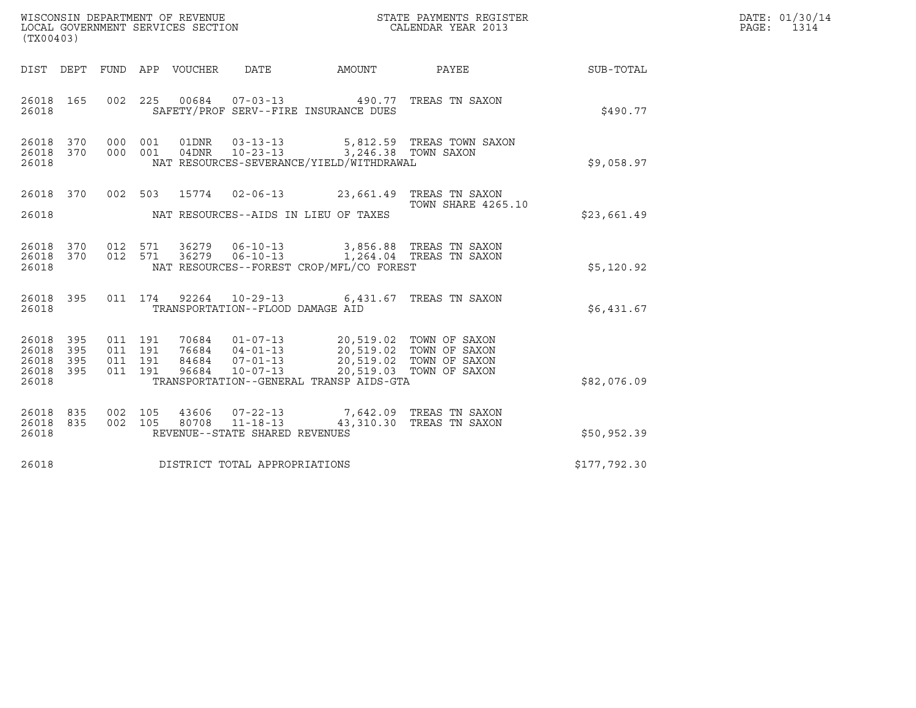| WISCONSIN DEPARTMENT OF REVENUE<br>LOCAL GOVERNMENT SERVICES SECTION<br>(TX00403) |                          |  |                                          |                  |                                  |                                                                                                                                                                                | STATE PAYMENTS REGISTER<br>CALENDAR YEAR 2013                                   |             | DATE: 01/30/14<br>PAGE:<br>1314 |
|-----------------------------------------------------------------------------------|--------------------------|--|------------------------------------------|------------------|----------------------------------|--------------------------------------------------------------------------------------------------------------------------------------------------------------------------------|---------------------------------------------------------------------------------|-------------|---------------------------------|
| DIST DEPT                                                                         |                          |  |                                          | FUND APP VOUCHER | DATE                             | AMOUNT                                                                                                                                                                         | PAYEE                                                                           | SUB-TOTAL   |                                 |
| 26018 165<br>26018                                                                |                          |  |                                          |                  |                                  | 002 225 00684 07-03-13 490.77 TREAS TN SAXON<br>SAFETY/PROF SERV--FIRE INSURANCE DUES                                                                                          |                                                                                 | \$490.77    |                                 |
| 26018 370<br>26018 370<br>26018                                                   |                          |  | 000 001<br>000 001                       |                  |                                  | NAT RESOURCES-SEVERANCE/YIELD/WITHDRAWAL                                                                                                                                       | 01DNR $03-13-13$ 5,812.59 TREAS TOWN SAXON 04DNR $10-23-13$ 3,246.38 TOWN SAXON | \$9,058.97  |                                 |
| 26018 370<br>26018                                                                |                          |  | 002 503                                  |                  |                                  | 15774  02-06-13  23,661.49  TREAS TN SAXON<br>NAT RESOURCES--AIDS IN LIEU OF TAXES                                                                                             | TOWN SHARE 4265.10                                                              | \$23,661.49 |                                 |
| 26018 370<br>26018                                                                |                          |  | 012 571                                  |                  |                                  | 26018 370 012 571 36279 06-10-13 3,856.88 TREAS TN SAXON<br>36279  06-10-13  1,264.04  TREAS TN SAXON<br>NAT RESOURCES--FOREST CROP/MFL/CO FOREST                              |                                                                                 | \$5,120.92  |                                 |
| 26018 395<br>26018                                                                |                          |  |                                          |                  | TRANSPORTATION--FLOOD DAMAGE AID | 011 174 92264 10-29-13 6,431.67 TREAS TN SAXON                                                                                                                                 |                                                                                 | \$6,431.67  |                                 |
| 26018<br>26018<br>26018<br>26018<br>26018                                         | 395<br>395<br>395<br>395 |  | 011 191<br>011 191<br>011 191<br>011 191 | 96684            | $10 - 07 - 13$                   | 70684  01-07-13  20,519.02  TOWN OF SAXON<br>76684  04-01-13  20,519.02  TOWN OF SAXON<br>84684  07-01-13  20,519.02  TOWN OF SAXON<br>TRANSPORTATION--GENERAL TRANSP AIDS-GTA | 20,519.03 TOWN OF SAXON                                                         | \$82,076.09 |                                 |
| 26018 835<br>26018                                                                | 835                      |  | 002 105<br>002 105                       | 80708            | $11 - 18 - 13$                   | 43606  07-22-13  7,642.09  TREAS TN SAXON                                                                                                                                      | 43,310.30 TREAS TN SAXON                                                        |             |                                 |

| 26018 835<br>26018 835 | 002 105<br>002 105 | 43606<br>80708 | 07-22-13<br>11-18-13           | 43,310.30 | 7,642.09 TREAS TN SAXON<br>TREAS TN SAXON |              |
|------------------------|--------------------|----------------|--------------------------------|-----------|-------------------------------------------|--------------|
| 26018                  |                    |                | REVENUE--STATE SHARED REVENUES |           |                                           | \$50,952.39  |
| 26018                  |                    |                | DISTRICT TOTAL APPROPRIATIONS  |           |                                           | \$177,792.30 |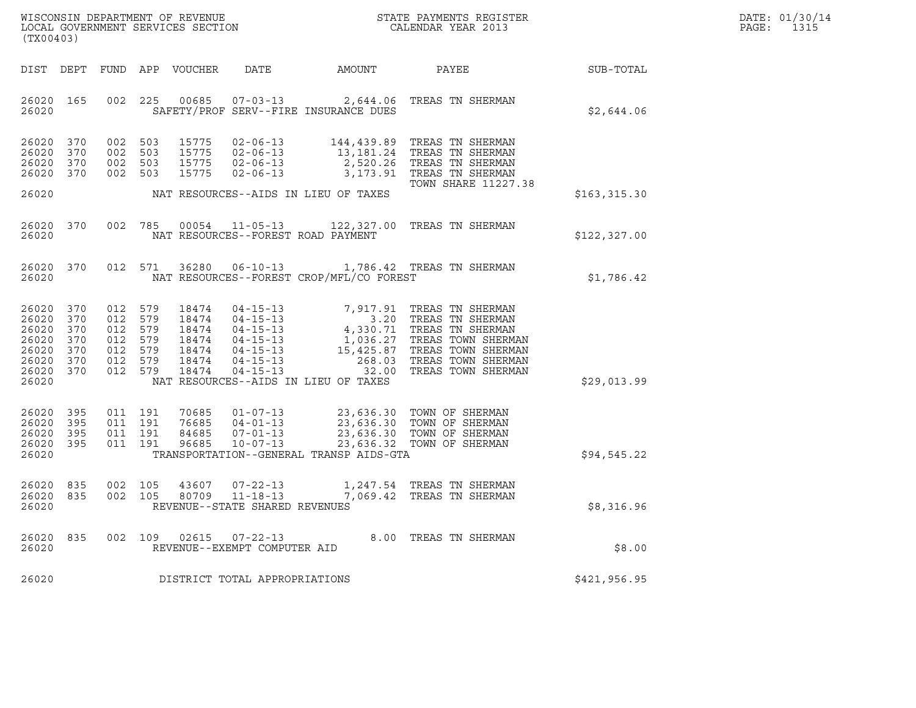| DATE: | 01/30/14 |
|-------|----------|
| PAGE: | 1315     |

| (TX00403)                                                                | ${\tt WISCO} {\tt NSM} {\tt NEMR} {\tt NEMR} {\tt NEMR} {\tt NEMR} {\tt NEMR} {\tt NEMR} {\tt NEMR} {\tt NEMR} {\tt NEMR} {\tt NEMR} {\tt NEMR} {\tt NEMR} {\tt NEMR} {\tt NEMR} {\tt NEMR} {\tt NEMR} {\tt NEMR} {\tt NEMR} {\tt NEMR} {\tt NEMR} {\tt NEMR} {\tt NEMR} {\tt NEMR} {\tt NEMR} {\tt NEMR} {\tt NEMR} {\tt NEMR} {\tt NEMR} {\tt NEMR} {\tt NEMR} {\tt NEMR} {\tt NEMR} {\tt NEMR} {\tt NEMR} {\tt NEMR}$ |                                                                       |         |                                                             |                                                                    |                                          |                                                                                                                                                                                                                                                            |               | DATE: 01/30/14<br>PAGE:<br>1315 |
|--------------------------------------------------------------------------|--------------------------------------------------------------------------------------------------------------------------------------------------------------------------------------------------------------------------------------------------------------------------------------------------------------------------------------------------------------------------------------------------------------------------|-----------------------------------------------------------------------|---------|-------------------------------------------------------------|--------------------------------------------------------------------|------------------------------------------|------------------------------------------------------------------------------------------------------------------------------------------------------------------------------------------------------------------------------------------------------------|---------------|---------------------------------|
|                                                                          |                                                                                                                                                                                                                                                                                                                                                                                                                          |                                                                       |         | DIST DEPT FUND APP VOUCHER                                  | DATE                                                               | AMOUNT                                   | PAYEE                                                                                                                                                                                                                                                      | SUB-TOTAL     |                                 |
| 26020 165<br>26020                                                       |                                                                                                                                                                                                                                                                                                                                                                                                                          |                                                                       | 002 225 |                                                             |                                                                    | SAFETY/PROF SERV--FIRE INSURANCE DUES    | 00685  07-03-13  2,644.06  TREAS TN SHERMAN                                                                                                                                                                                                                | \$2,644.06    |                                 |
| 26020 370<br>26020<br>26020<br>26020 370                                 | 370<br>370                                                                                                                                                                                                                                                                                                                                                                                                               | 002 503<br>002 503<br>002 503<br>002 503                              |         | 15775                                                       | 15775   02-06-13<br>$02 - 06 - 13$                                 |                                          | 15775  02-06-13  144,439.89  TREAS TN SHERMAN<br>15775 02-06-13 13,181.24 TREAS TN SHERMAN<br>2,520.26 TREAS TN SHERMAN<br>3,173.91 TREAS TN SHERMAN<br>TOWN SHARE 11227.38                                                                                |               |                                 |
| 26020                                                                    |                                                                                                                                                                                                                                                                                                                                                                                                                          |                                                                       |         |                                                             |                                                                    | NAT RESOURCES--AIDS IN LIEU OF TAXES     |                                                                                                                                                                                                                                                            | \$163, 315.30 |                                 |
| 26020                                                                    | 26020 370                                                                                                                                                                                                                                                                                                                                                                                                                |                                                                       |         |                                                             | NAT RESOURCES--FOREST ROAD PAYMENT                                 |                                          | 002 785 00054 11-05-13 122,327.00 TREAS TN SHERMAN                                                                                                                                                                                                         | \$122, 327.00 |                                 |
| 26020 370<br>26020                                                       |                                                                                                                                                                                                                                                                                                                                                                                                                          |                                                                       | 012 571 |                                                             |                                                                    | NAT RESOURCES--FOREST CROP/MFL/CO FOREST | 36280  06-10-13    1,786.42    TREAS TN SHERMAN                                                                                                                                                                                                            | \$1,786.42    |                                 |
| 26020<br>26020<br>26020<br>26020<br>26020<br>26020<br>26020 370<br>26020 | 370<br>370<br>370<br>370<br>370<br>370                                                                                                                                                                                                                                                                                                                                                                                   | 012 579<br>012<br>012 579<br>012 579<br>012 579<br>012 579<br>012 579 | 579     | 18474<br>18474<br>18474<br>18474<br>18474<br>18474<br>18474 |                                                                    | NAT RESOURCES--AIDS IN LIEU OF TAXES     | 04-15-13<br>04-15-13<br>04-15-13<br>04-15-13<br>04-15-13<br>04-15-13<br>1,036.27 TREAS TN SHERMAN<br>04-15-13<br>15,425.87 TREAS TOWN SHERMAN<br>04-15-13<br>268.03 TREAS TOWN SHERMAN<br>04-15-13<br>268.03 TREAS TOWN SHERMAN<br>04-15-13<br>268.03 TREA | \$29,013.99   |                                 |
| 26020 395<br>26020<br>26020 395<br>26020 395<br>26020                    | 395                                                                                                                                                                                                                                                                                                                                                                                                                      | 011 191<br>011 191<br>011 191<br>011 191                              |         | 70685<br>76685<br>84685<br>96685                            | $04 - 01 - 13$<br>$07 - 01 - 13$<br>10-07-13                       | TRANSPORTATION--GENERAL TRANSP AIDS-GTA  | 01-07-13 23,636.30 TOWN OF SHERMAN<br>23,636.30 TOWN OF SHERMAN<br>23,636.30 TOWN OF SHERMAN<br>23,636.32 TOWN OF SHERMAN                                                                                                                                  | \$94,545.22   |                                 |
| 26020<br>26020 835<br>26020                                              | 835                                                                                                                                                                                                                                                                                                                                                                                                                      | 002 105<br>002 105                                                    |         | 43607<br>80709                                              | $07 - 22 - 13$<br>$11 - 18 - 13$<br>REVENUE--STATE SHARED REVENUES |                                          | 1,247.54 TREAS TN SHERMAN<br>7,069.42 TREAS TN SHERMAN                                                                                                                                                                                                     | \$8,316.96    |                                 |
| 26020<br>26020                                                           | 835                                                                                                                                                                                                                                                                                                                                                                                                                      | 002 109                                                               |         | 02615                                                       | $07 - 22 - 13$<br>REVENUE--EXEMPT COMPUTER AID                     |                                          | 8.00 TREAS TN SHERMAN                                                                                                                                                                                                                                      | \$8.00        |                                 |
| 26020                                                                    |                                                                                                                                                                                                                                                                                                                                                                                                                          |                                                                       |         |                                                             | DISTRICT TOTAL APPROPRIATIONS                                      |                                          |                                                                                                                                                                                                                                                            | \$421,956.95  |                                 |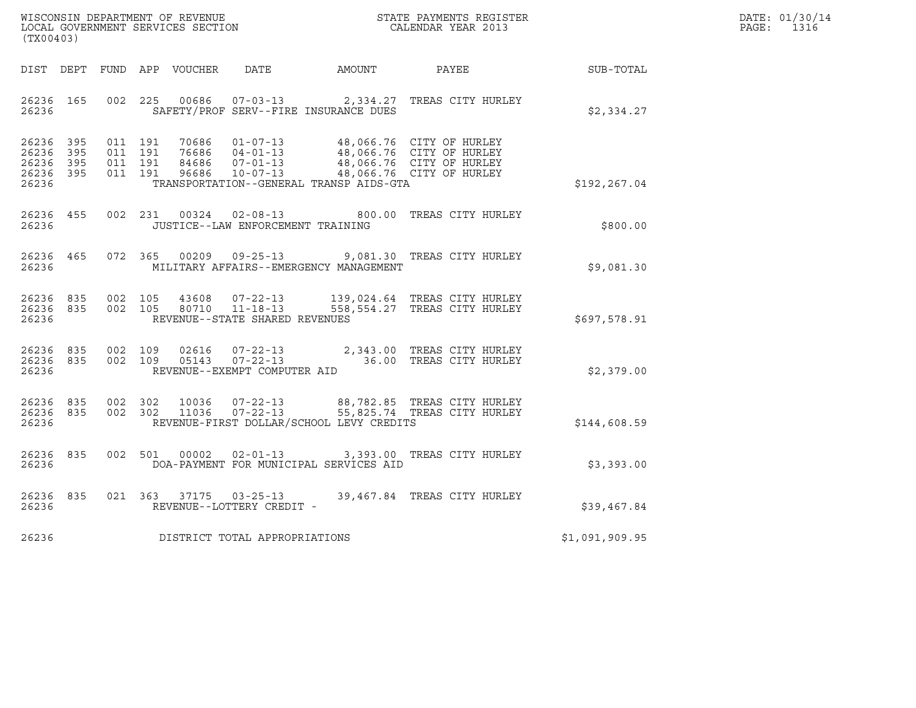| WISCONSIN DEPARTMENT OF REVENUE<br>LOCAL GOVERNMENT SERVICES SECTION<br>(TX00403) | STATE PAYMENTS REGISTER<br>CALENDAR YEAR 2013 | DATE: 01/30/14<br>PAGE:<br>1316 |
|-----------------------------------------------------------------------------------|-----------------------------------------------|---------------------------------|

| (TX00403)                                                             |                                                      |                                           |                                                                    |                                          |                                                                                                                       |                |
|-----------------------------------------------------------------------|------------------------------------------------------|-------------------------------------------|--------------------------------------------------------------------|------------------------------------------|-----------------------------------------------------------------------------------------------------------------------|----------------|
| DIST DEPT                                                             |                                                      | FUND APP VOUCHER DATE                     |                                                                    | AMOUNT                                   | PAYEE                                                                                                                 | SUB-TOTAL      |
| 26236<br>165<br>26236                                                 | 002<br>225                                           | 00686                                     | SAFETY/PROF SERV--FIRE INSURANCE DUES                              |                                          | 07-03-13 2,334.27 TREAS CITY HURLEY                                                                                   | \$2,334.27     |
| 395<br>26236<br>26236<br>395<br>26236<br>395<br>26236<br>395<br>26236 | 011<br>191<br>011<br>191<br>011<br>191<br>011<br>191 | 70686<br>76686 04-01-13<br>84686<br>96686 | $01 - 07 - 13$<br>$07 - 01 - 13$                                   | TRANSPORTATION--GENERAL TRANSP AIDS-GTA  | 48,066.76 CITY OF HURLEY<br>48,066.76 CITY OF HURLEY<br>48,066.76 CITY OF HURLEY<br>10-07-13 48,066.76 CITY OF HURLEY | \$192,267.04   |
| 26236<br>455<br>26236                                                 | 002<br>231                                           |                                           | JUSTICE--LAW ENFORCEMENT TRAINING                                  | 00324 02-08-13 800.00                    | TREAS CITY HURLEY                                                                                                     | \$800.00       |
| 465<br>26236<br>26236                                                 | 072<br>365                                           |                                           |                                                                    | MILITARY AFFAIRS--EMERGENCY MANAGEMENT   | 00209  09-25-13  9,081.30  TREAS CITY HURLEY                                                                          | \$9,081.30     |
| 26236<br>835<br>26236<br>835<br>26236                                 | 002<br>105<br>002<br>105                             | 80710                                     | 43608 07-22-13<br>$11 - 18 - 13$<br>REVENUE--STATE SHARED REVENUES |                                          | 139,024.64 TREAS CITY HURLEY<br>558,554.27 TREAS CITY HURLEY                                                          | \$697,578.91   |
| 26236<br>835<br>26236<br>835<br>26236                                 | 002<br>109<br>002<br>109                             | 02616<br>05143                            | $07 - 22 - 13$<br>$07 - 22 - 13$<br>REVENUE--EXEMPT COMPUTER AID   |                                          | 2,343.00 TREAS CITY HURLEY<br>36.00 TREAS CITY HURLEY                                                                 | \$2,379.00     |
| 26236<br>835<br>26236<br>835<br>26236                                 | 002<br>302<br>002<br>302                             | 10036<br>11036                            | $07 - 22 - 13$<br>$07 - 22 - 13$                                   | REVENUE-FIRST DOLLAR/SCHOOL LEVY CREDITS | 88,782.85 TREAS CITY HURLEY<br>55,825.74 TREAS CITY HURLEY                                                            | \$144,608.59   |
| 26236<br>835<br>26236                                                 | 002<br>501                                           | 00002                                     | $02 - 01 - 13$                                                     | DOA-PAYMENT FOR MUNICIPAL SERVICES AID   | 3,393.00 TREAS CITY HURLEY                                                                                            | \$3,393.00     |
| 26236<br>835<br>26236                                                 | 021<br>363                                           | 37175                                     | $03 - 25 - 13$<br>REVENUE--LOTTERY CREDIT -                        |                                          | 39,467.84 TREAS CITY HURLEY                                                                                           | \$39,467.84    |
| 26236                                                                 |                                                      |                                           | DISTRICT TOTAL APPROPRIATIONS                                      |                                          |                                                                                                                       | \$1,091,909.95 |